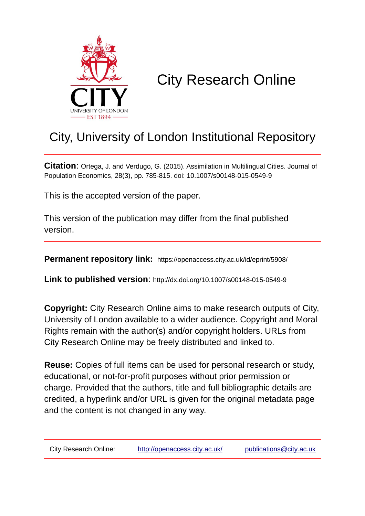

# City Research Online

## City, University of London Institutional Repository

**Citation**: Ortega, J. and Verdugo, G. (2015). Assimilation in Multilingual Cities. Journal of Population Economics, 28(3), pp. 785-815. doi: 10.1007/s00148-015-0549-9

This is the accepted version of the paper.

This version of the publication may differ from the final published version.

**Permanent repository link:** https://openaccess.city.ac.uk/id/eprint/5908/

**Link to published version**: http://dx.doi.org/10.1007/s00148-015-0549-9

**Copyright:** City Research Online aims to make research outputs of City, University of London available to a wider audience. Copyright and Moral Rights remain with the author(s) and/or copyright holders. URLs from City Research Online may be freely distributed and linked to.

**Reuse:** Copies of full items can be used for personal research or study, educational, or not-for-profit purposes without prior permission or charge. Provided that the authors, title and full bibliographic details are credited, a hyperlink and/or URL is given for the original metadata page and the content is not changed in any way.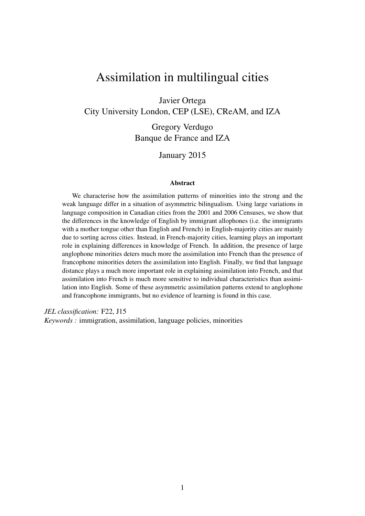## Assimilation in multilingual cities

Javier Ortega

City University London, CEP (LSE), CReAM, and IZA

Gregory Verdugo Banque de France and IZA

January 2015

#### Abstract

We characterise how the assimilation patterns of minorities into the strong and the weak language differ in a situation of asymmetric bilingualism. Using large variations in language composition in Canadian cities from the 2001 and 2006 Censuses, we show that the differences in the knowledge of English by immigrant allophones (i.e. the immigrants with a mother tongue other than English and French) in English-majority cities are mainly due to sorting across cities. Instead, in French-majority cities, learning plays an important role in explaining differences in knowledge of French. In addition, the presence of large anglophone minorities deters much more the assimilation into French than the presence of francophone minorities deters the assimilation into English. Finally, we find that language distance plays a much more important role in explaining assimilation into French, and that assimilation into French is much more sensitive to individual characteristics than assimilation into English. Some of these asymmetric assimilation patterns extend to anglophone and francophone immigrants, but no evidence of learning is found in this case.

*JEL classification:* F22, J15

*Keywords :* immigration, assimilation, language policies, minorities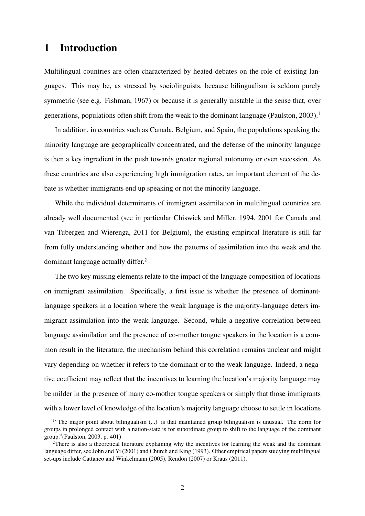## 1 Introduction

Multilingual countries are often characterized by heated debates on the role of existing languages. This may be, as stressed by sociolinguists, because bilingualism is seldom purely symmetric (see e.g. Fishman, 1967) or because it is generally unstable in the sense that, over generations, populations often shift from the weak to the dominant language (Paulston,  $2003$ ).<sup>1</sup>

In addition, in countries such as Canada, Belgium, and Spain, the populations speaking the minority language are geographically concentrated, and the defense of the minority language is then a key ingredient in the push towards greater regional autonomy or even secession. As these countries are also experiencing high immigration rates, an important element of the debate is whether immigrants end up speaking or not the minority language.

While the individual determinants of immigrant assimilation in multilingual countries are already well documented (see in particular Chiswick and Miller, 1994, 2001 for Canada and van Tubergen and Wierenga, 2011 for Belgium), the existing empirical literature is still far from fully understanding whether and how the patterns of assimilation into the weak and the dominant language actually differ.<sup>2</sup>

The two key missing elements relate to the impact of the language composition of locations on immigrant assimilation. Specifically, a first issue is whether the presence of dominantlanguage speakers in a location where the weak language is the majority-language deters immigrant assimilation into the weak language. Second, while a negative correlation between language assimilation and the presence of co-mother tongue speakers in the location is a common result in the literature, the mechanism behind this correlation remains unclear and might vary depending on whether it refers to the dominant or to the weak language. Indeed, a negative coefficient may reflect that the incentives to learning the location's majority language may be milder in the presence of many co-mother tongue speakers or simply that those immigrants with a lower level of knowledge of the location's majority language choose to settle in locations

<sup>&</sup>lt;sup>1</sup>"The major point about bilingualism (...) is that maintained group bilingualism is unusual. The norm for groups in prolonged contact with a nation-state is for subordinate group to shift to the language of the dominant group."(Paulston, 2003, p. 401)

<sup>&</sup>lt;sup>2</sup>There is also a theoretical literature explaining why the incentives for learning the weak and the dominant language differ, see John and Yi (2001) and Church and King (1993). Other empirical papers studying multilingual set-ups include Cattaneo and Winkelmann (2005), Rendon (2007) or Kraus (2011).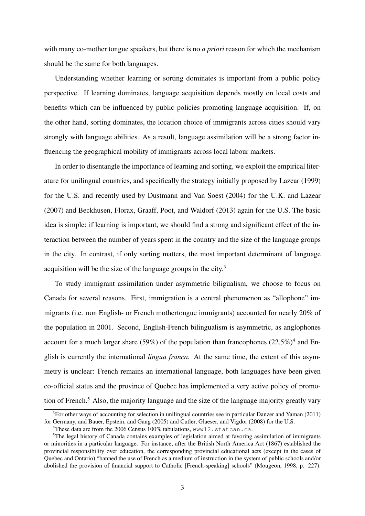with many co-mother tongue speakers, but there is no *a priori* reason for which the mechanism should be the same for both languages.

Understanding whether learning or sorting dominates is important from a public policy perspective. If learning dominates, language acquisition depends mostly on local costs and benefits which can be influenced by public policies promoting language acquisition. If, on the other hand, sorting dominates, the location choice of immigrants across cities should vary strongly with language abilities. As a result, language assimilation will be a strong factor influencing the geographical mobility of immigrants across local labour markets.

In order to disentangle the importance of learning and sorting, we exploit the empirical literature for unilingual countries, and specifically the strategy initially proposed by Lazear (1999) for the U.S. and recently used by Dustmann and Van Soest (2004) for the U.K. and Lazear (2007) and Beckhusen, Florax, Graaff, Poot, and Waldorf (2013) again for the U.S. The basic idea is simple: if learning is important, we should find a strong and significant effect of the interaction between the number of years spent in the country and the size of the language groups in the city. In contrast, if only sorting matters, the most important determinant of language acquisition will be the size of the language groups in the city.<sup>3</sup>

To study immigrant assimilation under asymmetric biligualism, we choose to focus on Canada for several reasons. First, immigration is a central phenomenon as "allophone" immigrants (i.e. non English- or French mothertongue immigrants) accounted for nearly 20% of the population in 2001. Second, English-French bilingualism is asymmetric, as anglophones account for a much larger share (59%) of the population than francophones  $(22.5\%)^4$  and English is currently the international *lingua franca.* At the same time, the extent of this asymmetry is unclear: French remains an international language, both languages have been given co-official status and the province of Quebec has implemented a very active policy of promotion of French.<sup>5</sup> Also, the majority language and the size of the language majority greatly vary

 $3$ For other ways of accounting for selection in unilingual countries see in particular Danzer and Yaman (2011) for Germany, and Bauer, Epstein, and Gang (2005) and Cutler, Glaeser, and Vigdor (2008) for the U.S.

<sup>&</sup>lt;sup>4</sup>These data are from the 2006 Census 100% tabulations, www12.statcan.ca.

<sup>5</sup>The legal history of Canada contains examples of legislation aimed at favoring assimilation of immigrants or minorities in a particular language. For instance, after the British North America Act (1867) established the provincial responsibility over education, the corresponding provincial educational acts (except in the cases of Quebec and Ontario) "banned the use of French as a medium of instruction in the system of public schools and/or abolished the provision of financial support to Catholic [French-speaking] schools" (Mougeon, 1998, p. 227).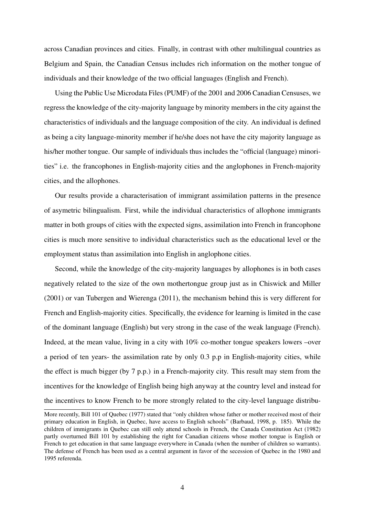across Canadian provinces and cities. Finally, in contrast with other multilingual countries as Belgium and Spain, the Canadian Census includes rich information on the mother tongue of individuals and their knowledge of the two official languages (English and French).

Using the Public Use Microdata Files (PUMF) of the 2001 and 2006 Canadian Censuses, we regress the knowledge of the city-majority language by minority members in the city against the characteristics of individuals and the language composition of the city. An individual is defined as being a city language-minority member if he/she does not have the city majority language as his/her mother tongue. Our sample of individuals thus includes the "official (language) minorities" i.e. the francophones in English-majority cities and the anglophones in French-majority cities, and the allophones.

Our results provide a characterisation of immigrant assimilation patterns in the presence of asymetric bilingualism. First, while the individual characteristics of allophone immigrants matter in both groups of cities with the expected signs, assimilation into French in francophone cities is much more sensitive to individual characteristics such as the educational level or the employment status than assimilation into English in anglophone cities.

Second, while the knowledge of the city-majority languages by allophones is in both cases negatively related to the size of the own mothertongue group just as in Chiswick and Miller (2001) or van Tubergen and Wierenga (2011), the mechanism behind this is very different for French and English-majority cities. Specifically, the evidence for learning is limited in the case of the dominant language (English) but very strong in the case of the weak language (French). Indeed, at the mean value, living in a city with 10% co-mother tongue speakers lowers –over a period of ten years- the assimilation rate by only 0.3 p.p in English-majority cities, while the effect is much bigger (by 7 p.p.) in a French-majority city. This result may stem from the incentives for the knowledge of English being high anyway at the country level and instead for the incentives to know French to be more strongly related to the city-level language distribu-

More recently, Bill 101 of Quebec (1977) stated that "only children whose father or mother received most of their primary education in English, in Quebec, have access to English schools" (Barbaud, 1998, p. 185). While the children of immigrants in Quebec can still only attend schools in French, the Canada Constitution Act (1982) partly overturned Bill 101 by establishing the right for Canadian citizens whose mother tongue is English or French to get education in that same language everywhere in Canada (when the number of children so warrants). The defense of French has been used as a central argument in favor of the secession of Quebec in the 1980 and 1995 referenda.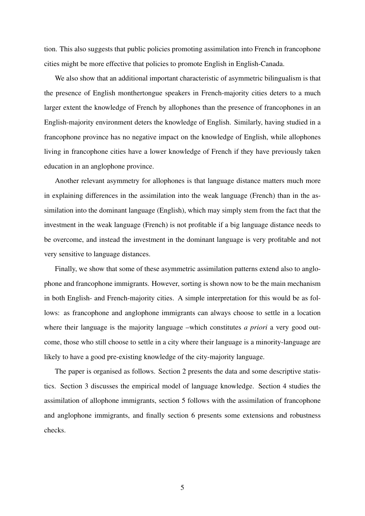tion. This also suggests that public policies promoting assimilation into French in francophone cities might be more effective that policies to promote English in English-Canada.

We also show that an additional important characteristic of asymmetric bilingualism is that the presence of English monthertongue speakers in French-majority cities deters to a much larger extent the knowledge of French by allophones than the presence of francophones in an English-majority environment deters the knowledge of English. Similarly, having studied in a francophone province has no negative impact on the knowledge of English, while allophones living in francophone cities have a lower knowledge of French if they have previously taken education in an anglophone province.

Another relevant asymmetry for allophones is that language distance matters much more in explaining differences in the assimilation into the weak language (French) than in the assimilation into the dominant language (English), which may simply stem from the fact that the investment in the weak language (French) is not profitable if a big language distance needs to be overcome, and instead the investment in the dominant language is very profitable and not very sensitive to language distances.

Finally, we show that some of these asymmetric assimilation patterns extend also to anglophone and francophone immigrants. However, sorting is shown now to be the main mechanism in both English- and French-majority cities. A simple interpretation for this would be as follows: as francophone and anglophone immigrants can always choose to settle in a location where their language is the majority language –which constitutes *a priori* a very good outcome, those who still choose to settle in a city where their language is a minority-language are likely to have a good pre-existing knowledge of the city-majority language.

The paper is organised as follows. Section 2 presents the data and some descriptive statistics. Section 3 discusses the empirical model of language knowledge. Section 4 studies the assimilation of allophone immigrants, section 5 follows with the assimilation of francophone and anglophone immigrants, and finally section 6 presents some extensions and robustness checks.

5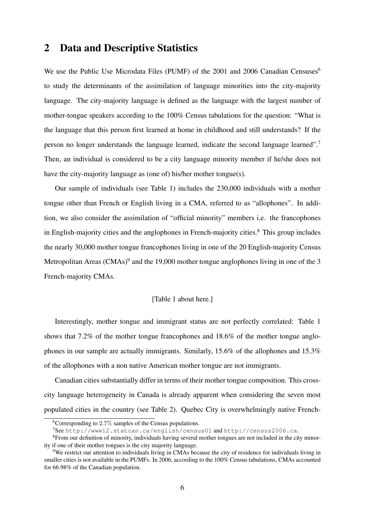### 2 Data and Descriptive Statistics

We use the Public Use Microdata Files (PUMF) of the 2001 and 2006 Canadian Censuses<sup>6</sup> to study the determinants of the assimilation of language minorities into the city-majority language. The city-majority language is defined as the language with the largest number of mother-tongue speakers according to the 100% Census tabulations for the question: "What is the language that this person first learned at home in childhood and still understands? If the person no longer understands the language learned, indicate the second language learned".<sup>7</sup> Then, an individual is considered to be a city language minority member if he/she does not have the city-majority language as (one of) his/her mother tongue(s).

Our sample of individuals (see Table 1) includes the 230,000 individuals with a mother tongue other than French or English living in a CMA, referred to as "allophones". In addition, we also consider the assimilation of "official minority" members i.e. the francophones in English-majority cities and the anglophones in French-majority cities.<sup>8</sup> This group includes the nearly 30,000 mother tongue francophones living in one of the 20 English-majority Census Metropolitan Areas (CMAs) $9$  and the 19,000 mother tongue anglophones living in one of the 3 French-majority CMAs.

#### [Table 1 about here.]

Interestingly, mother tongue and immigrant status are not perfectly correlated: Table 1 shows that 7.2% of the mother tongue francophones and 18.6% of the mother tongue anglophones in our sample are actually immigrants. Similarly, 15.6% of the allophones and 15.3% of the allophones with a non native American mother tongue are not immigrants.

Canadian cities substantially differ in terms of their mother tongue composition. This crosscity language heterogeneity in Canada is already apparent when considering the seven most populated cities in the country (see Table 2). Quebec City is overwhelmingly native French-

<sup>&</sup>lt;sup>6</sup>Corresponding to 2.7% samples of the Census populations.

<sup>7</sup>See http://www12.statcan.ca/english/census01 and http://census2006.ca.

<sup>8</sup>From our definition of minority, individuals having several mother tongues are not included in the city minority if one of their mother tongues is the city majority language.

<sup>9</sup>We restrict our attention to individuals living in CMAs because the city of residence for individuals living in smaller cities is not available in the PUMFs. In 2006, according to the 100% Census tabulations, CMAs accounted for 66.98% of the Canadian population.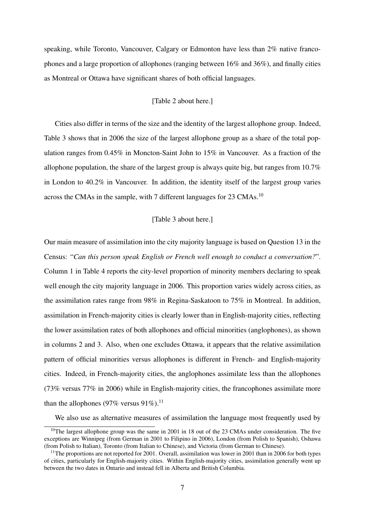speaking, while Toronto, Vancouver, Calgary or Edmonton have less than 2% native francophones and a large proportion of allophones (ranging between 16% and 36%), and finally cities as Montreal or Ottawa have significant shares of both official languages.

#### [Table 2 about here.]

Cities also differ in terms of the size and the identity of the largest allophone group. Indeed, Table 3 shows that in 2006 the size of the largest allophone group as a share of the total population ranges from 0.45% in Moncton-Saint John to 15% in Vancouver. As a fraction of the allophone population, the share of the largest group is always quite big, but ranges from 10.7% in London to 40.2% in Vancouver. In addition, the identity itself of the largest group varies across the CMAs in the sample, with 7 different languages for 23 CMAs.<sup>10</sup>

#### [Table 3 about here.]

Our main measure of assimilation into the city majority language is based on Question 13 in the Census: "*Can this person speak English or French well enough to conduct a conversation?*". Column 1 in Table 4 reports the city-level proportion of minority members declaring to speak well enough the city majority language in 2006. This proportion varies widely across cities, as the assimilation rates range from 98% in Regina-Saskatoon to 75% in Montreal. In addition, assimilation in French-majority cities is clearly lower than in English-majority cities, reflecting the lower assimilation rates of both allophones and official minorities (anglophones), as shown in columns 2 and 3. Also, when one excludes Ottawa, it appears that the relative assimilation pattern of official minorities versus allophones is different in French- and English-majority cities. Indeed, in French-majority cities, the anglophones assimilate less than the allophones (73% versus 77% in 2006) while in English-majority cities, the francophones assimilate more than the allophones (97% versus  $91\%$ ).<sup>11</sup>

We also use as alternative measures of assimilation the language most frequently used by

<sup>&</sup>lt;sup>10</sup>The largest allophone group was the same in 2001 in 18 out of the 23 CMAs under consideration. The five exceptions are Winnipeg (from German in 2001 to Filipino in 2006), London (from Polish to Spanish), Oshawa (from Polish to Italian), Toronto (from Italian to Chinese), and Victoria (from German to Chinese).

 $11$ The proportions are not reported for 2001. Overall, assimilation was lower in 2001 than in 2006 for both types of cities, particularly for English-majority cities. Within English-majority cities, assimilation generally went up between the two dates in Ontario and instead fell in Alberta and British Columbia.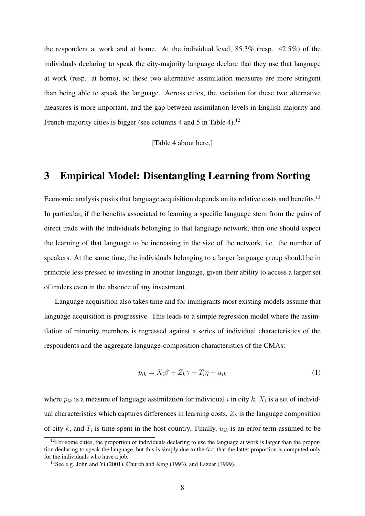the respondent at work and at home. At the individual level, 85.3% (resp. 42.5%) of the individuals declaring to speak the city-majority language declare that they use that language at work (resp. at home), so these two alternative assimilation measures are more stringent than being able to speak the language. Across cities, the variation for these two alternative measures is more important, and the gap between assimilation levels in English-majority and French-majority cities is bigger (see columns 4 and 5 in Table 4).<sup>12</sup>

[Table 4 about here.]

## 3 Empirical Model: Disentangling Learning from Sorting

Economic analysis posits that language acquisition depends on its relative costs and benefits.<sup>13</sup> In particular, if the benefits associated to learning a specific language stem from the gains of direct trade with the individuals belonging to that language network, then one should expect the learning of that language to be increasing in the size of the network, i.e. the number of speakers. At the same time, the individuals belonging to a larger language group should be in principle less pressed to investing in another language, given their ability to access a larger set of traders even in the absence of any investment.

Language acquisition also takes time and for immigrants most existing models assume that language acquisition is progressive. This leads to a simple regression model where the assimilation of minority members is regressed against a series of individual characteristics of the respondents and the aggregate language-composition characteristics of the CMAs:

$$
p_{ik} = X_i \beta + Z_k \gamma + T_i \eta + u_{ik} \tag{1}
$$

where  $p_{ik}$  is a measure of language assimilation for individual i in city k,  $X_i$  is a set of individual characteristics which captures differences in learning costs,  $Z_k$  is the language composition of city k, and  $T_i$  is time spent in the host country. Finally,  $u_{ik}$  is an error term assumed to be

 $12$ For some cities, the proportion of individuals declaring to use the language at work is larger than the proportion declaring to speak the language, but this is simply due to the fact that the latter proportion is computed only for the individuals who have a job.

<sup>13</sup>See e.g. John and Yi (2001), Church and King (1993), and Lazear (1999).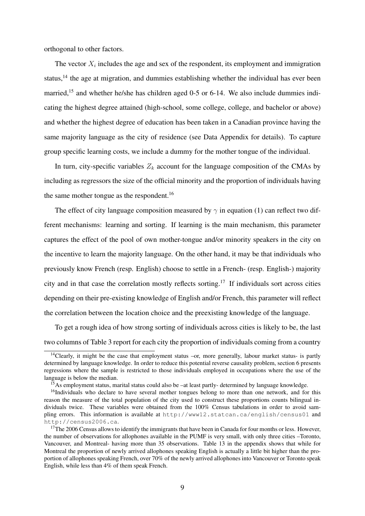orthogonal to other factors.

The vector  $X_i$  includes the age and sex of the respondent, its employment and immigration status,<sup>14</sup> the age at migration, and dummies establishing whether the individual has ever been married,<sup>15</sup> and whether he/she has children aged 0-5 or 6-14. We also include dummies indicating the highest degree attained (high-school, some college, college, and bachelor or above) and whether the highest degree of education has been taken in a Canadian province having the same majority language as the city of residence (see Data Appendix for details). To capture group specific learning costs, we include a dummy for the mother tongue of the individual.

In turn, city-specific variables  $Z_k$  account for the language composition of the CMAs by including as regressors the size of the official minority and the proportion of individuals having the same mother tongue as the respondent.<sup>16</sup>

The effect of city language composition measured by  $\gamma$  in equation (1) can reflect two different mechanisms: learning and sorting. If learning is the main mechanism, this parameter captures the effect of the pool of own mother-tongue and/or minority speakers in the city on the incentive to learn the majority language. On the other hand, it may be that individuals who previously know French (resp. English) choose to settle in a French- (resp. English-) majority city and in that case the correlation mostly reflects sorting.<sup>17</sup> If individuals sort across cities depending on their pre-existing knowledge of English and/or French, this parameter will reflect the correlation between the location choice and the preexisting knowledge of the language.

To get a rough idea of how strong sorting of individuals across cities is likely to be, the last two columns of Table 3 report for each city the proportion of individuals coming from a country

 $14$ Clearly, it might be the case that employment status –or, more generally, labour market status- is partly determined by language knowledge. In order to reduce this potential reverse causality problem, section 6 presents regressions where the sample is restricted to those individuals employed in occupations where the use of the language is below the median.

<sup>&</sup>lt;sup>15</sup>As employment status, marital status could also be –at least partly- determined by language knowledge.

<sup>&</sup>lt;sup>16</sup>Individuals who declare to have several mother tongues belong to more than one network, and for this reason the measure of the total population of the city used to construct these proportions counts bilingual individuals twice. These variables were obtained from the 100% Census tabulations in order to avoid sampling errors. This information is available at http://www12.statcan.ca/english/census01 and http://census2006.ca.

 $17$ The 2006 Census allows to identify the immigrants that have been in Canada for four months or less. However, the number of observations for allophones available in the PUMF is very small, with only three cities –Toronto, Vancouver, and Montreal- having more than 35 observations. Table 13 in the appendix shows that while for Montreal the proportion of newly arrived allophones speaking English is actually a little bit higher than the proportion of allophones speaking French, over 70% of the newly arrived allophones into Vancouver or Toronto speak English, while less than 4% of them speak French.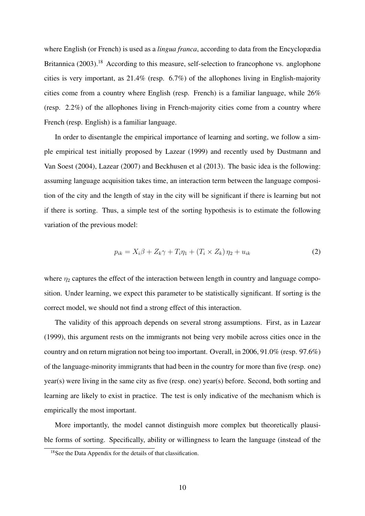where English (or French) is used as a *lingua franca*, according to data from the Encyclopædia Britannica (2003).<sup>18</sup> According to this measure, self-selection to francophone vs. anglophone cities is very important, as 21.4% (resp. 6.7%) of the allophones living in English-majority cities come from a country where English (resp. French) is a familiar language, while 26% (resp. 2.2%) of the allophones living in French-majority cities come from a country where French (resp. English) is a familiar language.

In order to disentangle the empirical importance of learning and sorting, we follow a simple empirical test initially proposed by Lazear (1999) and recently used by Dustmann and Van Soest (2004), Lazear (2007) and Beckhusen et al (2013). The basic idea is the following: assuming language acquisition takes time, an interaction term between the language composition of the city and the length of stay in the city will be significant if there is learning but not if there is sorting. Thus, a simple test of the sorting hypothesis is to estimate the following variation of the previous model:

$$
p_{ik} = X_i \beta + Z_k \gamma + T_i \eta_1 + (T_i \times Z_k) \eta_2 + u_{ik}
$$
\n<sup>(2)</sup>

where  $\eta_2$  captures the effect of the interaction between length in country and language composition. Under learning, we expect this parameter to be statistically significant. If sorting is the correct model, we should not find a strong effect of this interaction.

The validity of this approach depends on several strong assumptions. First, as in Lazear (1999), this argument rests on the immigrants not being very mobile across cities once in the country and on return migration not being too important. Overall, in 2006, 91.0% (resp. 97.6%) of the language-minority immigrants that had been in the country for more than five (resp. one) year(s) were living in the same city as five (resp. one) year(s) before. Second, both sorting and learning are likely to exist in practice. The test is only indicative of the mechanism which is empirically the most important.

More importantly, the model cannot distinguish more complex but theoretically plausible forms of sorting. Specifically, ability or willingness to learn the language (instead of the

<sup>&</sup>lt;sup>18</sup>See the Data Appendix for the details of that classification.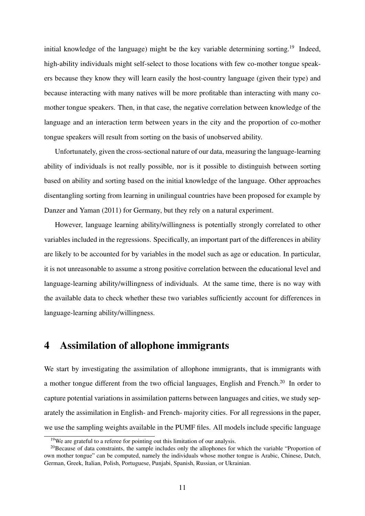initial knowledge of the language) might be the key variable determining sorting.<sup>19</sup> Indeed, high-ability individuals might self-select to those locations with few co-mother tongue speakers because they know they will learn easily the host-country language (given their type) and because interacting with many natives will be more profitable than interacting with many comother tongue speakers. Then, in that case, the negative correlation between knowledge of the language and an interaction term between years in the city and the proportion of co-mother tongue speakers will result from sorting on the basis of unobserved ability.

Unfortunately, given the cross-sectional nature of our data, measuring the language-learning ability of individuals is not really possible, nor is it possible to distinguish between sorting based on ability and sorting based on the initial knowledge of the language. Other approaches disentangling sorting from learning in unilingual countries have been proposed for example by Danzer and Yaman (2011) for Germany, but they rely on a natural experiment.

However, language learning ability/willingness is potentially strongly correlated to other variables included in the regressions. Specifically, an important part of the differences in ability are likely to be accounted for by variables in the model such as age or education. In particular, it is not unreasonable to assume a strong positive correlation between the educational level and language-learning ability/willingness of individuals. At the same time, there is no way with the available data to check whether these two variables sufficiently account for differences in language-learning ability/willingness.

## 4 Assimilation of allophone immigrants

We start by investigating the assimilation of allophone immigrants, that is immigrants with a mother tongue different from the two official languages, English and French.<sup>20</sup> In order to capture potential variations in assimilation patterns between languages and cities, we study separately the assimilation in English- and French- majority cities. For all regressions in the paper, we use the sampling weights available in the PUMF files. All models include specific language

 $19$ We are grateful to a referee for pointing out this limitation of our analysis.

<sup>&</sup>lt;sup>20</sup>Because of data constraints, the sample includes only the allophones for which the variable "Proportion of own mother tongue" can be computed, namely the individuals whose mother tongue is Arabic, Chinese, Dutch, German, Greek, Italian, Polish, Portuguese, Punjabi, Spanish, Russian, or Ukrainian.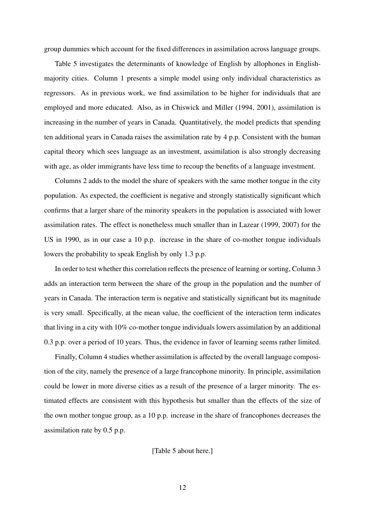group dummies which account for the fixed differences in assimilation across language groups.

Table 5 investigates the determinants of knowledge of English by allophones in Englishmajority cities. Column 1 presents a simple model using only individual characteristics as regressors. As in previous work, we find assimilation to be higher for individuals that are employed and more educated. Also, as in Chiswick and Miller (1994, 2001), assimilation is increasing in the number of years in Canada. Quantitatively, the model predicts that spending ten additional years in Canada raises the assimilation rate by 4 p.p. Consistent with the human capital theory which sees language as an investment, assimilation is also strongly decreasing with age, as older immigrants have less time to recoup the benefits of a language investment.

Columns 2 adds to the model the share of speakers with the same mother tongue in the city population. As expected, the coefficient is negative and strongly statistically significant which confirms that a larger share of the minority speakers in the population is associated with lower assimilation rates. The effect is nonetheless much smaller than in Lazear (1999, 2007) for the US in 1990, as in our case a 10 p.p. increase in the share of co-mother tongue individuals lowers the probability to speak English by only 1.3 p.p.

In order to test whether this correlation reflects the presence of learning or sorting, Column 3 adds an interaction term between the share of the group in the population and the number of years in Canada. The interaction term is negative and statistically significant but its magnitude is very small. Specifically, at the mean value, the coefficient of the interaction term indicates that living in a city with 10% co-mother tongue individuals lowers assimilation by an additional 0.3 p.p. over a period of 10 years. Thus, the evidence in favor of learning seems rather limited.

Finally, Column 4 studies whether assimilation is affected by the overall language composition of the city, namely the presence of a large francophone minority. In principle, assimilation could be lower in more diverse cities as a result of the presence of a larger minority. The estimated effects are consistent with this hypothesis but smaller than the effects of the size of the own mother tongue group, as a 10 p.p. increase in the share of francophones decreases the assimilation rate by 0.5 p.p.

[Table 5 about here.]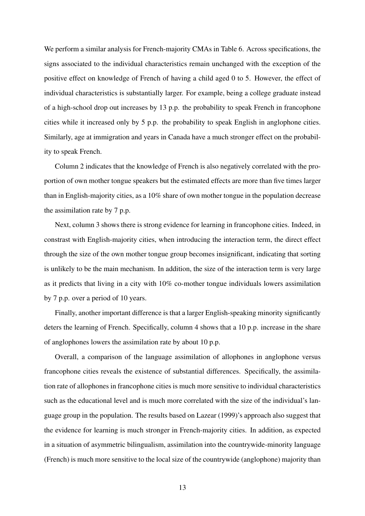We perform a similar analysis for French-majority CMAs in Table 6. Across specifications, the signs associated to the individual characteristics remain unchanged with the exception of the positive effect on knowledge of French of having a child aged 0 to 5. However, the effect of individual characteristics is substantially larger. For example, being a college graduate instead of a high-school drop out increases by 13 p.p. the probability to speak French in francophone cities while it increased only by 5 p.p. the probability to speak English in anglophone cities. Similarly, age at immigration and years in Canada have a much stronger effect on the probability to speak French.

Column 2 indicates that the knowledge of French is also negatively correlated with the proportion of own mother tongue speakers but the estimated effects are more than five times larger than in English-majority cities, as a 10% share of own mother tongue in the population decrease the assimilation rate by 7 p.p.

Next, column 3 shows there is strong evidence for learning in francophone cities. Indeed, in constrast with English-majority cities, when introducing the interaction term, the direct effect through the size of the own mother tongue group becomes insignificant, indicating that sorting is unlikely to be the main mechanism. In addition, the size of the interaction term is very large as it predicts that living in a city with 10% co-mother tongue individuals lowers assimilation by 7 p.p. over a period of 10 years.

Finally, another important difference is that a larger English-speaking minority significantly deters the learning of French. Specifically, column 4 shows that a 10 p.p. increase in the share of anglophones lowers the assimilation rate by about 10 p.p.

Overall, a comparison of the language assimilation of allophones in anglophone versus francophone cities reveals the existence of substantial differences. Specifically, the assimilation rate of allophones in francophone cities is much more sensitive to individual characteristics such as the educational level and is much more correlated with the size of the individual's language group in the population. The results based on Lazear (1999)'s approach also suggest that the evidence for learning is much stronger in French-majority cities. In addition, as expected in a situation of asymmetric bilingualism, assimilation into the countrywide-minority language (French) is much more sensitive to the local size of the countrywide (anglophone) majority than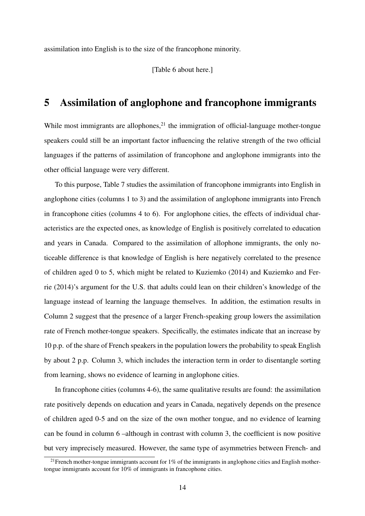assimilation into English is to the size of the francophone minority.

[Table 6 about here.]

### 5 Assimilation of anglophone and francophone immigrants

While most immigrants are allophones, $2<sup>1</sup>$  the immigration of official-language mother-tongue speakers could still be an important factor influencing the relative strength of the two official languages if the patterns of assimilation of francophone and anglophone immigrants into the other official language were very different.

To this purpose, Table 7 studies the assimilation of francophone immigrants into English in anglophone cities (columns 1 to 3) and the assimilation of anglophone immigrants into French in francophone cities (columns 4 to 6). For anglophone cities, the effects of individual characteristics are the expected ones, as knowledge of English is positively correlated to education and years in Canada. Compared to the assimilation of allophone immigrants, the only noticeable difference is that knowledge of English is here negatively correlated to the presence of children aged 0 to 5, which might be related to Kuziemko (2014) and Kuziemko and Ferrie (2014)'s argument for the U.S. that adults could lean on their children's knowledge of the language instead of learning the language themselves. In addition, the estimation results in Column 2 suggest that the presence of a larger French-speaking group lowers the assimilation rate of French mother-tongue speakers. Specifically, the estimates indicate that an increase by 10 p.p. of the share of French speakers in the population lowers the probability to speak English by about 2 p.p. Column 3, which includes the interaction term in order to disentangle sorting from learning, shows no evidence of learning in anglophone cities.

In francophone cities (columns 4-6), the same qualitative results are found: the assimilation rate positively depends on education and years in Canada, negatively depends on the presence of children aged 0-5 and on the size of the own mother tongue, and no evidence of learning can be found in column  $6$  –although in contrast with column 3, the coefficient is now positive but very imprecisely measured. However, the same type of asymmetries between French- and

<sup>&</sup>lt;sup>21</sup>French mother-tongue immigrants account for 1% of the immigrants in anglophone cities and English mothertongue immigrants account for 10% of immigrants in francophone cities.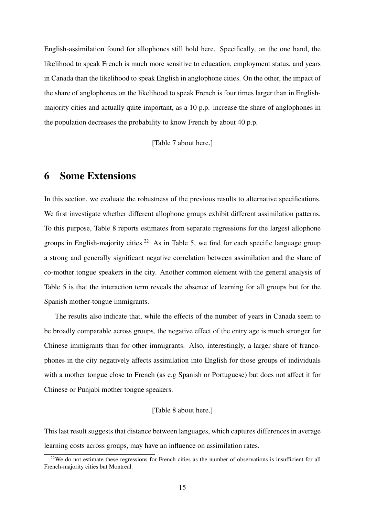English-assimilation found for allophones still hold here. Specifically, on the one hand, the likelihood to speak French is much more sensitive to education, employment status, and years in Canada than the likelihood to speak English in anglophone cities. On the other, the impact of the share of anglophones on the likelihood to speak French is four times larger than in Englishmajority cities and actually quite important, as a 10 p.p. increase the share of anglophones in the population decreases the probability to know French by about 40 p.p.

[Table 7 about here.]

## 6 Some Extensions

In this section, we evaluate the robustness of the previous results to alternative specifications. We first investigate whether different allophone groups exhibit different assimilation patterns. To this purpose, Table 8 reports estimates from separate regressions for the largest allophone groups in English-majority cities.<sup>22</sup> As in Table 5, we find for each specific language group a strong and generally significant negative correlation between assimilation and the share of co-mother tongue speakers in the city. Another common element with the general analysis of Table 5 is that the interaction term reveals the absence of learning for all groups but for the Spanish mother-tongue immigrants.

The results also indicate that, while the effects of the number of years in Canada seem to be broadly comparable across groups, the negative effect of the entry age is much stronger for Chinese immigrants than for other immigrants. Also, interestingly, a larger share of francophones in the city negatively affects assimilation into English for those groups of individuals with a mother tongue close to French (as e.g Spanish or Portuguese) but does not affect it for Chinese or Punjabi mother tongue speakers.

#### [Table 8 about here.]

This last result suggests that distance between languages, which captures differences in average learning costs across groups, may have an influence on assimilation rates.

 $22$ We do not estimate these regressions for French cities as the number of observations is insufficient for all French-majority cities but Montreal.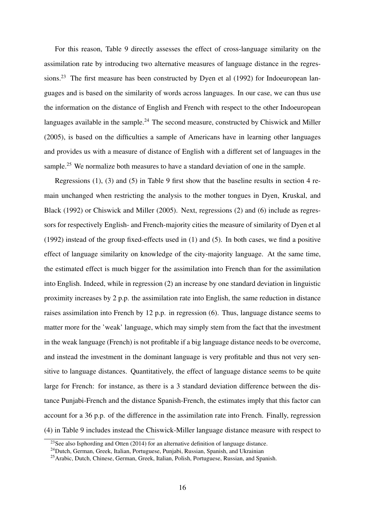For this reason, Table 9 directly assesses the effect of cross-language similarity on the assimilation rate by introducing two alternative measures of language distance in the regressions.<sup>23</sup> The first measure has been constructed by Dyen et al (1992) for Indoeuropean languages and is based on the similarity of words across languages. In our case, we can thus use the information on the distance of English and French with respect to the other Indoeuropean languages available in the sample.<sup>24</sup> The second measure, constructed by Chiswick and Miller (2005), is based on the difficulties a sample of Americans have in learning other languages and provides us with a measure of distance of English with a different set of languages in the sample.<sup>25</sup> We normalize both measures to have a standard deviation of one in the sample.

Regressions (1), (3) and (5) in Table 9 first show that the baseline results in section 4 remain unchanged when restricting the analysis to the mother tongues in Dyen, Kruskal, and Black (1992) or Chiswick and Miller (2005). Next, regressions (2) and (6) include as regressors for respectively English- and French-majority cities the measure of similarity of Dyen et al (1992) instead of the group fixed-effects used in (1) and (5). In both cases, we find a positive effect of language similarity on knowledge of the city-majority language. At the same time, the estimated effect is much bigger for the assimilation into French than for the assimilation into English. Indeed, while in regression (2) an increase by one standard deviation in linguistic proximity increases by 2 p.p. the assimilation rate into English, the same reduction in distance raises assimilation into French by 12 p.p. in regression (6). Thus, language distance seems to matter more for the 'weak' language, which may simply stem from the fact that the investment in the weak language (French) is not profitable if a big language distance needs to be overcome, and instead the investment in the dominant language is very profitable and thus not very sensitive to language distances. Quantitatively, the effect of language distance seems to be quite large for French: for instance, as there is a 3 standard deviation difference between the distance Punjabi-French and the distance Spanish-French, the estimates imply that this factor can account for a 36 p.p. of the difference in the assimilation rate into French. Finally, regression (4) in Table 9 includes instead the Chiswick-Miller language distance measure with respect to

<sup>&</sup>lt;sup>23</sup>See also Isphording and Otten (2014) for an alternative definition of language distance.

<sup>24</sup>Dutch, German, Greek, Italian, Portuguese, Punjabi, Russian, Spanish, and Ukrainian

<sup>25</sup>Arabic, Dutch, Chinese, German, Greek, Italian, Polish, Portuguese, Russian, and Spanish.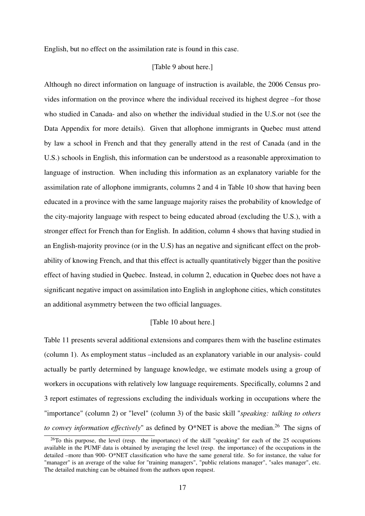English, but no effect on the assimilation rate is found in this case.

#### [Table 9 about here.]

Although no direct information on language of instruction is available, the 2006 Census provides information on the province where the individual received its highest degree –for those who studied in Canada- and also on whether the individual studied in the U.S.or not (see the Data Appendix for more details). Given that allophone immigrants in Quebec must attend by law a school in French and that they generally attend in the rest of Canada (and in the U.S.) schools in English, this information can be understood as a reasonable approximation to language of instruction. When including this information as an explanatory variable for the assimilation rate of allophone immigrants, columns 2 and 4 in Table 10 show that having been educated in a province with the same language majority raises the probability of knowledge of the city-majority language with respect to being educated abroad (excluding the U.S.), with a stronger effect for French than for English. In addition, column 4 shows that having studied in an English-majority province (or in the U.S) has an negative and significant effect on the probability of knowing French, and that this effect is actually quantitatively bigger than the positive effect of having studied in Quebec. Instead, in column 2, education in Quebec does not have a significant negative impact on assimilation into English in anglophone cities, which constitutes an additional asymmetry between the two official languages.

#### [Table 10 about here.]

Table 11 presents several additional extensions and compares them with the baseline estimates (column 1). As employment status –included as an explanatory variable in our analysis- could actually be partly determined by language knowledge, we estimate models using a group of workers in occupations with relatively low language requirements. Specifically, columns 2 and 3 report estimates of regressions excluding the individuals working in occupations where the "importance" (column 2) or "level" (column 3) of the basic skill "*speaking: talking to others to convey information effectively*" as defined by O\*NET is above the median.<sup>26</sup> The signs of

 $26$ To this purpose, the level (resp. the importance) of the skill "speaking" for each of the 25 occupations available in the PUMF data is obtained by averaging the level (resp. the importance) of the occupations in the detailed –more than 900- O\*NET classification who have the same general title. So for instance, the value for "manager" is an average of the value for "training managers", "public relations manager", "sales manager", etc. The detailed matching can be obtained from the authors upon request.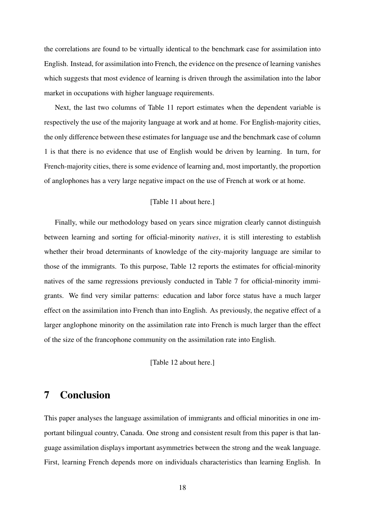the correlations are found to be virtually identical to the benchmark case for assimilation into English. Instead, for assimilation into French, the evidence on the presence of learning vanishes which suggests that most evidence of learning is driven through the assimilation into the labor market in occupations with higher language requirements.

Next, the last two columns of Table 11 report estimates when the dependent variable is respectively the use of the majority language at work and at home. For English-majority cities, the only difference between these estimates for language use and the benchmark case of column 1 is that there is no evidence that use of English would be driven by learning. In turn, for French-majority cities, there is some evidence of learning and, most importantly, the proportion of anglophones has a very large negative impact on the use of French at work or at home.

#### [Table 11 about here.]

Finally, while our methodology based on years since migration clearly cannot distinguish between learning and sorting for official-minority *natives*, it is still interesting to establish whether their broad determinants of knowledge of the city-majority language are similar to those of the immigrants. To this purpose, Table 12 reports the estimates for official-minority natives of the same regressions previously conducted in Table 7 for official-minority immigrants. We find very similar patterns: education and labor force status have a much larger effect on the assimilation into French than into English. As previously, the negative effect of a larger anglophone minority on the assimilation rate into French is much larger than the effect of the size of the francophone community on the assimilation rate into English.

[Table 12 about here.]

## 7 Conclusion

This paper analyses the language assimilation of immigrants and official minorities in one important bilingual country, Canada. One strong and consistent result from this paper is that language assimilation displays important asymmetries between the strong and the weak language. First, learning French depends more on individuals characteristics than learning English. In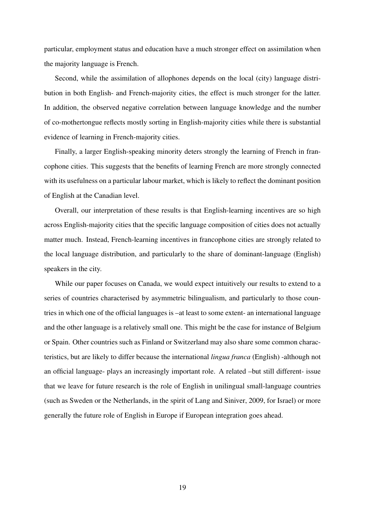particular, employment status and education have a much stronger effect on assimilation when the majority language is French.

Second, while the assimilation of allophones depends on the local (city) language distribution in both English- and French-majority cities, the effect is much stronger for the latter. In addition, the observed negative correlation between language knowledge and the number of co-mothertongue reflects mostly sorting in English-majority cities while there is substantial evidence of learning in French-majority cities.

Finally, a larger English-speaking minority deters strongly the learning of French in francophone cities. This suggests that the benefits of learning French are more strongly connected with its usefulness on a particular labour market, which is likely to reflect the dominant position of English at the Canadian level.

Overall, our interpretation of these results is that English-learning incentives are so high across English-majority cities that the specific language composition of cities does not actually matter much. Instead, French-learning incentives in francophone cities are strongly related to the local language distribution, and particularly to the share of dominant-language (English) speakers in the city.

While our paper focuses on Canada, we would expect intuitively our results to extend to a series of countries characterised by asymmetric bilingualism, and particularly to those countries in which one of the official languages is –at least to some extent- an international language and the other language is a relatively small one. This might be the case for instance of Belgium or Spain. Other countries such as Finland or Switzerland may also share some common characteristics, but are likely to differ because the international *lingua franca* (English) -although not an official language- plays an increasingly important role. A related –but still different- issue that we leave for future research is the role of English in unilingual small-language countries (such as Sweden or the Netherlands, in the spirit of Lang and Siniver, 2009, for Israel) or more generally the future role of English in Europe if European integration goes ahead.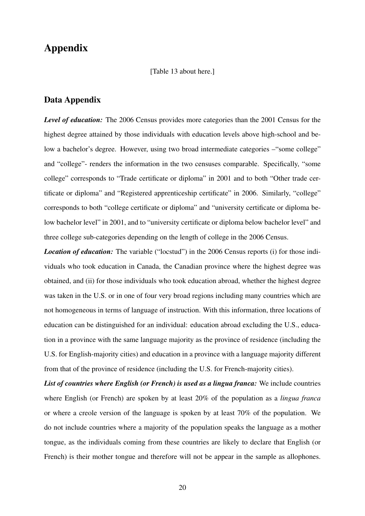## Appendix

[Table 13 about here.]

#### Data Appendix

*Level of education:* The 2006 Census provides more categories than the 2001 Census for the highest degree attained by those individuals with education levels above high-school and below a bachelor's degree. However, using two broad intermediate categories – "some college" and "college"- renders the information in the two censuses comparable. Specifically, "some college" corresponds to "Trade certificate or diploma" in 2001 and to both "Other trade certificate or diploma" and "Registered apprenticeship certificate" in 2006. Similarly, "college" corresponds to both "college certificate or diploma" and "university certificate or diploma below bachelor level" in 2001, and to "university certificate or diploma below bachelor level" and three college sub-categories depending on the length of college in the 2006 Census.

*Location of education:* The variable ("locstud") in the 2006 Census reports (i) for those individuals who took education in Canada, the Canadian province where the highest degree was obtained, and (ii) for those individuals who took education abroad, whether the highest degree was taken in the U.S. or in one of four very broad regions including many countries which are not homogeneous in terms of language of instruction. With this information, three locations of education can be distinguished for an individual: education abroad excluding the U.S., education in a province with the same language majority as the province of residence (including the U.S. for English-majority cities) and education in a province with a language majority different from that of the province of residence (including the U.S. for French-majority cities).

*List of countries where English (or French) is used as a lingua franca:* We include countries where English (or French) are spoken by at least 20% of the population as a *lingua franca* or where a creole version of the language is spoken by at least 70% of the population. We do not include countries where a majority of the population speaks the language as a mother tongue, as the individuals coming from these countries are likely to declare that English (or French) is their mother tongue and therefore will not be appear in the sample as allophones.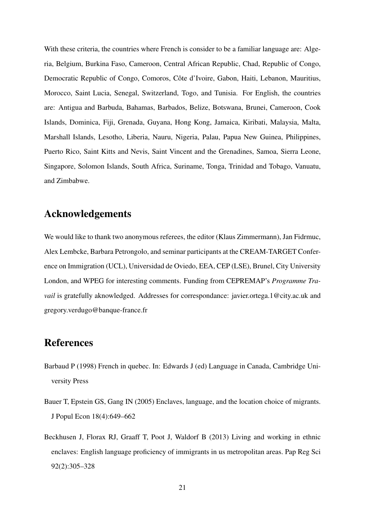With these criteria, the countries where French is consider to be a familiar language are: Algeria, Belgium, Burkina Faso, Cameroon, Central African Republic, Chad, Republic of Congo, Democratic Republic of Congo, Comoros, Côte d'Ivoire, Gabon, Haiti, Lebanon, Mauritius, Morocco, Saint Lucia, Senegal, Switzerland, Togo, and Tunisia. For English, the countries are: Antigua and Barbuda, Bahamas, Barbados, Belize, Botswana, Brunei, Cameroon, Cook Islands, Dominica, Fiji, Grenada, Guyana, Hong Kong, Jamaica, Kiribati, Malaysia, Malta, Marshall Islands, Lesotho, Liberia, Nauru, Nigeria, Palau, Papua New Guinea, Philippines, Puerto Rico, Saint Kitts and Nevis, Saint Vincent and the Grenadines, Samoa, Sierra Leone, Singapore, Solomon Islands, South Africa, Suriname, Tonga, Trinidad and Tobago, Vanuatu, and Zimbabwe.

## Acknowledgements

We would like to thank two anonymous referees, the editor (Klaus Zimmermann), Jan Fidrmuc, Alex Lembcke, Barbara Petrongolo, and seminar participants at the CREAM-TARGET Conference on Immigration (UCL), Universidad de Oviedo, EEA, CEP (LSE), Brunel, City University London, and WPEG for interesting comments. Funding from CEPREMAP's *Programme Travail* is gratefully aknowledged. Addresses for correspondance: javier.ortega.1@city.ac.uk and gregory.verdugo@banque-france.fr

## References

- Barbaud P (1998) French in quebec. In: Edwards J (ed) Language in Canada, Cambridge University Press
- Bauer T, Epstein GS, Gang IN (2005) Enclaves, language, and the location choice of migrants. J Popul Econ 18(4):649–662
- Beckhusen J, Florax RJ, Graaff T, Poot J, Waldorf B (2013) Living and working in ethnic enclaves: English language proficiency of immigrants in us metropolitan areas. Pap Reg Sci 92(2):305–328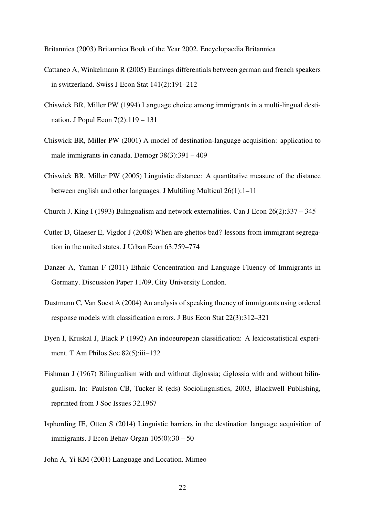Britannica (2003) Britannica Book of the Year 2002. Encyclopaedia Britannica

- Cattaneo A, Winkelmann R (2005) Earnings differentials between german and french speakers in switzerland. Swiss J Econ Stat 141(2):191–212
- Chiswick BR, Miller PW (1994) Language choice among immigrants in a multi-lingual destination. J Popul Econ 7(2):119 – 131
- Chiswick BR, Miller PW (2001) A model of destination-language acquisition: application to male immigrants in canada. Demogr 38(3):391 – 409
- Chiswick BR, Miller PW (2005) Linguistic distance: A quantitative measure of the distance between english and other languages. J Multiling Multicul 26(1):1–11
- Church J, King I (1993) Bilingualism and network externalities. Can J Econ 26(2):337 345
- Cutler D, Glaeser E, Vigdor J (2008) When are ghettos bad? lessons from immigrant segregation in the united states. J Urban Econ 63:759–774
- Danzer A, Yaman F (2011) Ethnic Concentration and Language Fluency of Immigrants in Germany. Discussion Paper 11/09, City University London.
- Dustmann C, Van Soest A (2004) An analysis of speaking fluency of immigrants using ordered response models with classification errors. J Bus Econ Stat 22(3):312–321
- Dyen I, Kruskal J, Black P (1992) An indoeuropean classification: A lexicostatistical experiment. T Am Philos Soc 82(5):iii–132
- Fishman J (1967) Bilingualism with and without diglossia; diglossia with and without bilingualism. In: Paulston CB, Tucker R (eds) Sociolinguistics, 2003, Blackwell Publishing, reprinted from J Soc Issues 32,1967
- Isphording IE, Otten S (2014) Linguistic barriers in the destination language acquisition of immigrants. J Econ Behav Organ 105(0):30 – 50
- John A, Yi KM (2001) Language and Location. Mimeo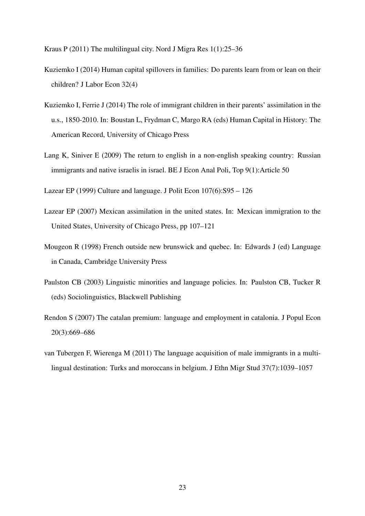Kraus P (2011) The multilingual city. Nord J Migra Res 1(1):25–36

- Kuziemko I (2014) Human capital spillovers in families: Do parents learn from or lean on their children? J Labor Econ 32(4)
- Kuziemko I, Ferrie J (2014) The role of immigrant children in their parents' assimilation in the u.s., 1850-2010. In: Boustan L, Frydman C, Margo RA (eds) Human Capital in History: The American Record, University of Chicago Press
- Lang K, Siniver E (2009) The return to english in a non-english speaking country: Russian immigrants and native israelis in israel. BE J Econ Anal Poli, Top 9(1):Article 50
- Lazear EP (1999) Culture and language. J Polit Econ 107(6):S95 126
- Lazear EP (2007) Mexican assimilation in the united states. In: Mexican immigration to the United States, University of Chicago Press, pp 107–121
- Mougeon R (1998) French outside new brunswick and quebec. In: Edwards J (ed) Language in Canada, Cambridge University Press
- Paulston CB (2003) Linguistic minorities and language policies. In: Paulston CB, Tucker R (eds) Sociolinguistics, Blackwell Publishing
- Rendon S (2007) The catalan premium: language and employment in catalonia. J Popul Econ 20(3):669–686
- van Tubergen F, Wierenga M (2011) The language acquisition of male immigrants in a multilingual destination: Turks and moroccans in belgium. J Ethn Migr Stud 37(7):1039–1057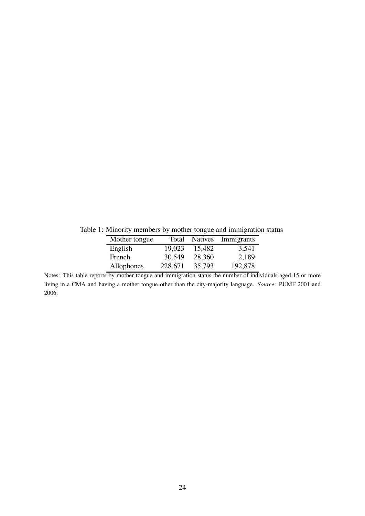Table 1: Minority members by mother tongue and immigration status

| Mother tongue | Total   | <b>Natives</b> | Immigrants |
|---------------|---------|----------------|------------|
| English       | 19,023  | 15,482         | 3,541      |
| French        | 30,549  | 28,360         | 2,189      |
| Allophones    | 228,671 | 35,793         | 192,878    |

Notes: This table reports by mother tongue and immigration status the number of individuals aged 15 or more living in a CMA and having a mother tongue other than the city-majority language. *Source*: PUMF 2001 and 2006.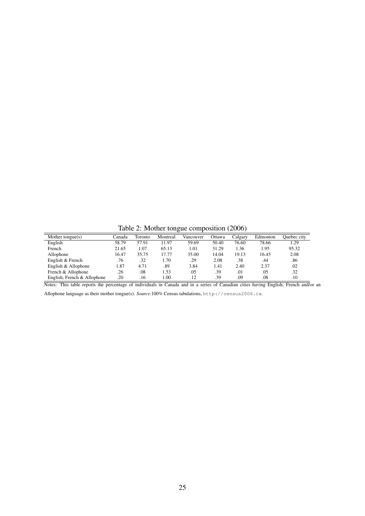Table 2: Mother tongue composition (2006)

| Mother tongue(s)            | Canada | Toronto | Montreal | Vancouver | Ottawa | Calgary | Edmonton | Ouebec city |
|-----------------------------|--------|---------|----------|-----------|--------|---------|----------|-------------|
| English                     | 58.79  | 57.91   | 11.97    | 59.69     | 50.40  | 76.60   | 78.66    | 1.29        |
| French                      | 21.65  | 1.07    | 65.13    | 1.01      | 31.29  | 1.36    | 1.95     | 95.32       |
| Allophone                   | 16.47  | 35.75   | 17.77    | 35.00     | 14.04  | 19.13   | 16.45    | 2.08        |
| English & French            | .76    | .32     | 1.70     | .29       | 2.08   | .38     | .44      | .86         |
| English & Allophone         | l.87   | 4.71    | .89      | 3.84      | 1.41   | 2.40    | 2.37     | .02         |
| French & Allophone          | .26    | .08     | 1.53     | .05       | .39    | .01     | .05      | .32         |
| English, French & Allophone | .20    | .16     | 00.1     | .12       | .39    | .09     | .08      | .10         |

Notes: This table reports the percentage of individuals in Canada and in a series of Canadian cities having English, French and/or an

Allophone language as their mother tongue(s). *Source*:100% Census tabulations, http://census2006.ca.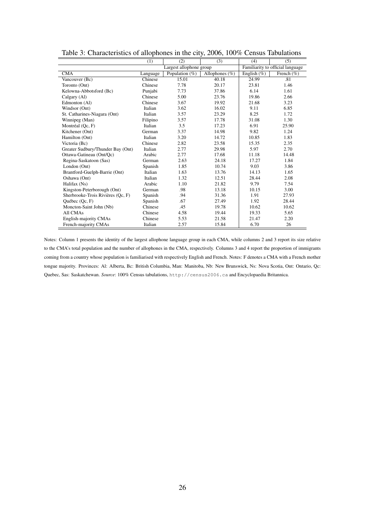|                                   | (1)      | (2)                     | (3)               | (4)         | (5)                              |
|-----------------------------------|----------|-------------------------|-------------------|-------------|----------------------------------|
|                                   |          | Largest allophone group |                   |             | Familiarity to official language |
| <b>CMA</b>                        | Language | Population (%)          | Allophones $(\%)$ | English (%) | French $(\% )$                   |
| Vancouver (Bc)                    | Chinese  | 15.01                   | 40.18             | 24.99       | .81                              |
| Toronto (Ont)                     | Chinese  | 7.78                    | 20.17             | 23.81       | 1.46                             |
| Kelowna-Abbotsford (Bc)           | Punjabi  | 7.73                    | 37.86             | 6.14        | 1.61                             |
| Calgary (Al)                      | Chinese  | 5.00                    | 23.76             | 19.86       | 2.66                             |
| Edmonton (Al)                     | Chinese  | 3.67                    | 19.92             | 21.68       | 3.23                             |
| Windsor (Ont)                     | Italian  | 3.62                    | 16.02             | 9.11        | 6.85                             |
| St. Catharines-Niagara (Ont)      | Italian  | 3.57                    | 23.29             | 8.25        | 1.72                             |
| Winnipeg (Man)                    | Filipino | 3.57                    | 17.78             | 31.08       | 1.30                             |
| Montréal (Qc, F)                  | Italian  | 3.5                     | 17.23             | 6.91        | 25.90                            |
| Kitchener (Ont)                   | German   | 3.37                    | 14.98             | 9.82        | 1.24                             |
| Hamilton (Ont)                    | Italian  | 3.20                    | 14.72             | 10.85       | 1.83                             |
| Victoria (Bc)                     | Chinese  | 2.82                    | 23.58             | 15.35       | 2.35                             |
| Greater Sudbury/Thunder Bay (Ont) | Italian  | 2.77                    | 29.98             | 5.97        | 2.70                             |
| Ottawa-Gatineau (Ont/Qc)          | Arabic   | 2.77                    | 17.68             | 11.18       | 14.48                            |
| Regina-Saskatoon (Sas)            | German   | 2.63                    | 24.18             | 17.27       | 1.84                             |
| London (Ont)                      | Spanish  | 1.85                    | 10.74             | 9.03        | 3.86                             |
| Brantford-Guelph-Barrie (Ont)     | Italian  | 1.63                    | 13.76             | 14.13       | 1.65                             |
| Oshawa (Ont)                      | Italian  | 1.32                    | 12.51             | 28.44       | 2.08                             |
| Halifax (Ns)                      | Arabic   | 1.10                    | 21.82             | 9.79        | 7.54                             |
| Kingston-Peterborough (Ont)       | German   | .98                     | 13.18             | 10.15       | 3.00                             |
| Sherbrooke-Trois Rivières (Qc, F) | Spanish  | .94                     | 31.36             | 1.91        | 27.93                            |
| Québec (Qc, F)                    | Spanish  | .67                     | 27.49             | 1.92        | 28.44                            |
| Moncton-Saint John (Nb)           | Chinese  | .45                     | 19.78             | 10.62       | 10.62                            |
| All CMAs                          | Chinese  | 4.58                    | 19.44             | 19.33       | 5.65                             |
| English-majority CMAs             | Chinese  | 5.53                    | 21.58             | 21.47       | 2.20                             |
| French-majority CMAs              | Italian  | 2.57                    | 15.84             | 6.70        | 26                               |

Table 3: Characteristics of allophones in the city, 2006, 100% Census Tabulations

Notes: Column 1 presents the identity of the largest allophone language group in each CMA, while columns 2 and 3 report its size relative to the CMA's total population and the number of allophones in the CMA, respectively. Columns 3 and 4 report the proportion of immigrants coming from a country whose population is familiarised with respectively English and French. Notes: F denotes a CMA with a French mother tongue majority. Provinces: Al: Alberta, Bc: British Columbia, Man: Manitoba, Nb: New Brunswick, Ns: Nova Scotia, Ont: Ontario, Qc: Quebec, Sas: Saskatchewan. *Source*: 100% Census tabulations, http://census2006.ca and Encyclopaedia Britannica.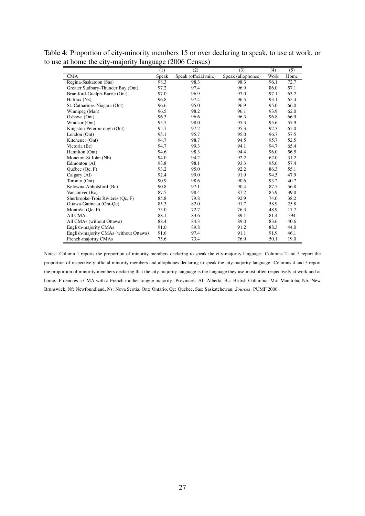| Table 4: Proportion of city-minority members 15 or over declaring to speak, to use at work, or |  |
|------------------------------------------------------------------------------------------------|--|
| to use at home the city-majority language (2006 Census)                                        |  |

|                                        | (1)   | (2)                   | (3)                | (4)  | (5)  |
|----------------------------------------|-------|-----------------------|--------------------|------|------|
| <b>CMA</b>                             | Speak | Speak (official min.) | Speak (allophones) | Work | Home |
| Regina-Saskatoon (Sas)                 | 98.3  | 98.3                  | 98.3               | 96.1 | 72.7 |
| Greater Sudbury-Thunder Bay (Ont)      | 97.2  | 97.4                  | 96.9               | 86.0 | 57.1 |
| Brantford-Guelph-Barrie (Ont)          | 97.0  | 96.9                  | 97.0               | 97.1 | 63.2 |
| Halifax (Ns)                           | 96.8  | 97.4                  | 96.5               | 93.1 | 65.4 |
| St. Catharines-Niagara (Ont)           | 96.6  | 95.0                  | 96.9               | 95.0 | 66.0 |
| Winnipeg (Man)                         | 96.5  | 98.2                  | 96.1               | 93.9 | 62.0 |
| Oshawa (Ont)                           | 96.3  | 96.6                  | 96.3               | 96.8 | 66.9 |
| Windsor (Ont)                          | 95.7  | 98.0                  | 95.3               | 95.6 | 57.9 |
| Kingston-Peterborough (Ont)            | 95.7  | 97.2                  | 95.3               | 92.3 | 65.0 |
| London (Ont)                           | 95.1  | 95.7                  | 95.0               | 96.7 | 57.5 |
| Kitchener (Ont)                        | 94.7  | 98.7                  | 94.5               | 95.7 | 52.5 |
| Victoria (Bc)                          | 94.7  | 99.3                  | 94.1               | 94.7 | 65.4 |
| Hamilton (Ont)                         | 94.6  | 98.3                  | 94.4               | 96.0 | 56.5 |
| Moncton-St John (Nb)                   | 94.0  | 94.2                  | 92.2               | 62.0 | 31.2 |
| Edmonton (Al)                          | 93.8  | 98.1                  | 93.3               | 95.6 | 57.4 |
| Québec (Qc, F)                         | 93.2  | 95.0                  | 92.2               | 86.3 | 55.1 |
| Calgary (Al)                           | 92.4  | 99.0                  | 91.9               | 94.5 | 47.9 |
| Toronto (Ont)                          | 90.9  | 98.6                  | 90.6               | 93.2 | 40.7 |
| Kelowna-Abbotsford (Bc)                | 90.8  | 97.1                  | 90.4               | 87.5 | 56.8 |
| Vancouver (Bc)                         | 87.5  | 98.4                  | 87.2               | 85.9 | 39.0 |
| Sherbrooke-Trois Rivières (Qc, F)      | 85.8  | 79.8                  | 92.9               | 74.0 | 38.2 |
| Ottawa-Gatineau (Ont-Qc)               | 85.3  | 82.0                  | 91.7               | 58.9 | 25.8 |
| Montréal (Oc, F)                       | 75.0  | 72.7                  | 76.3               | 48.9 | 17.7 |
| All CMAs                               | 88.1  | 83.6                  | 89.1               | 81.4 | 394  |
| All CMAs (without Ottawa)              | 88.4  | 84.3                  | 89.0               | 83.6 | 40.6 |
| English-majority CMAs                  | 91.0  | 89.8                  | 91.2               | 88.3 | 44.0 |
| English-majority CMAs (without Ottawa) | 91.6  | 97.4                  | 91.1               | 91.9 | 46.1 |
| French-majority CMAs                   | 75.6  | 73.4                  | 76.9               | 50.1 | 19.0 |

Notes: Column 1 reports the proportion of minority members declaring to speak the city-majority language. Columns 2 and 3 report the proportion of respectively official minority members and allophones declaring to speak the city-majority language. Columns 4 and 5 report the proportion of minority members declaring that the city-majority language is the language they use most often respectively at work and at home. F denotes a CMA with a French mother tongue majority. Provinces: Al: Alberta, Bc: British Columbia, Ma: Manitoba, Nb: New Brunswick, Nf: Newfoundland, Ns: Nova Scotia, Ont: Ontario, Qc: Quebec, Sas: Saskatchewan. *Sources*: PUMF 2006.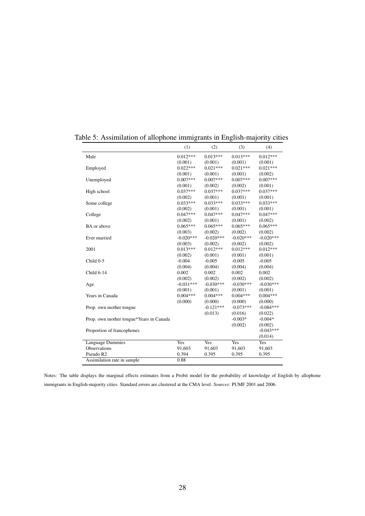|                                         | (1)         | (2)         | (3)         | (4)         |
|-----------------------------------------|-------------|-------------|-------------|-------------|
| Male                                    | $0.012***$  | $0.013***$  | $0.013***$  | $0.012***$  |
|                                         | (0.001)     | (0.001)     | (0.001)     | (0.001)     |
| Employed                                | $0.022***$  | $0.021***$  | $0.021***$  | $0.021***$  |
|                                         | (0.001)     | (0.001)     | (0.001)     | (0.002)     |
| Unemployed                              | $0.007***$  | $0.007***$  | $0.007***$  | $0.007***$  |
|                                         | (0.001)     | (0.002)     | (0.002)     | (0.001)     |
| High school                             | $0.037***$  | $0.037***$  | $0.037***$  | $0.037***$  |
|                                         | (0.002)     | (0.001)     | (0.001)     | (0.001)     |
| Some college                            | $0.033***$  | $0.033***$  | $0.033***$  | $0.033***$  |
|                                         | (0.002)     | (0.001)     | (0.001)     | (0.001)     |
| College                                 | $0.047***$  | $0.047***$  | $0.047***$  | $0.047***$  |
|                                         | (0.002)     | (0.001)     | (0.001)     | (0.002)     |
| BA or above                             | $0.065***$  | $0.065***$  | $0.065***$  | $0.065***$  |
|                                         | (0.003)     | (0.002)     | (0.002)     | (0.002)     |
| Ever married                            | $-0.020***$ | $-0.020***$ | $-0.020***$ | $-0.020***$ |
|                                         | (0.003)     | (0.002)     | (0.002)     | (0.002)     |
| 2001                                    | $0.013***$  | $0.012***$  | $0.012***$  | $0.012***$  |
|                                         | (0.002)     | (0.001)     | (0.001)     | (0.001)     |
| Child 0-5                               | $-0.004$    | $-0.005$    | $-0.005$    | $-0.005$    |
|                                         | (0.004)     | (0.004)     | (0.004)     | (0.004)     |
| Child 6-14                              | 0.002       | 0.002       | 0.002       | 0.002       |
|                                         | (0.002)     | (0.002)     | (0.002)     | (0.002)     |
| Age                                     | $-0.031***$ | $-0.030***$ | $-0.030***$ | $-0.030***$ |
|                                         | (0.001)     | (0.001)     | (0.001)     | (0.001)     |
| Years in Canada                         | $0.004***$  | $0.004***$  | $0.004***$  | $0.004***$  |
|                                         | (0.000)     | (0.000)     | (0.000)     | (0.000)     |
| Prop. own mother tongue                 |             | $-0.121***$ | $-0.073***$ | $-0.084***$ |
|                                         |             | (0.013)     | (0.016)     | (0.022)     |
| Prop. own mother tongue*Years in Canada |             |             | $-0.003*$   | $-0.004*$   |
|                                         |             |             | (0.002)     | (0.002)     |
| Proportion of francophones              |             |             |             | $-0.043***$ |
|                                         |             |             |             | (0.014)     |
| Language Dummies                        | Yes         | <b>Yes</b>  | <b>Yes</b>  | <b>Yes</b>  |
| Observations                            | 91,603      | 91,603      | 91,603      | 91,603      |
| Pseudo R <sub>2</sub>                   | 0.394       | 0.395       | 0.395       | 0.395       |
| Assimilation rate in sample             | 0.88        |             |             |             |

Table 5: Assimilation of allophone immigrants in English-majority cities

Notes: The table displays the marginal effects estimates from a Probit model for the probability of knowledge of English by allophone immigrants in English-majority cities. Standard errors are clustered at the CMA level. *Sources*: PUMF 2001 and 2006.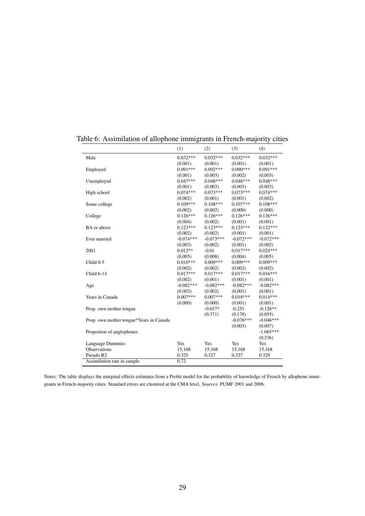| Male<br>$0.032***$<br>$0.032***$<br>$0.032***$<br>$0.032***$<br>(0.001)<br>(0.001)<br>(0.001)<br>(0.001)<br>$0.092***$<br>$0.090***$<br>$0.091***$<br>$0.091***$<br>Employed<br>(0.001)<br>(0.003)<br>(0.002)<br>(0.003)<br>$0.047***$<br>$0.048***$<br>$0.048***$<br>$0.048***$<br>Unemployed<br>(0.001)<br>(0.003)<br>(0.003)<br>(0.003)<br>$0.074***$<br>$0.073***$<br>$0.073***$<br>$0.074***$<br>High school<br>(0.002)<br>(0.001)<br>(0.001)<br>(0.002)<br>$0.109***$<br>$0.108***$<br>$0.107***$<br>$0.108***$<br>Some college<br>(0.002)<br>(0.002)<br>(0.000)<br>(0.000)<br>$0.126***$<br>$0.126***$<br>$0.126***$<br>$0.126***$<br>College<br>(0.004)<br>(0.002)<br>(0.001)<br>(0.001)<br>$0.123***$<br>$0.123***$<br>$0.122***$<br>$0.123***$<br>BA or above<br>(0.002)<br>(0.002)<br>(0.001)<br>(0.001)<br>$-0.072***$<br>$-0.074***$<br>$-0.073***$<br>$-0.072***$<br>Ever married<br>(0.003)<br>(0.002)<br>(0.001)<br>(0.002)<br>$0.012**$<br>$-0.01$<br>$0.017***$<br>$0.024***$<br>2001<br>(0.005)<br>(0.008)<br>(0.004)<br>(0.005)<br>$0.010***$<br>$0.009***$<br>$0.009***$<br>$0.009***$<br>Child 0-5<br>(0.002)<br>(0.002)<br>(0.002)<br>(0.002)<br>$0.017***$<br>$0.017***$<br>$0.017***$<br>$0.016***$<br>Child 6-14<br>(0.002)<br>(0.001)<br>(0.001)<br>(0.001)<br>$-0.082***$<br>$-0.082***$<br>$-0.082***$<br>$-0.082***$<br>Age<br>(0.003)<br>(0.002)<br>(0.001)<br>(0.001)<br>$0.007***$<br>$0.007***$<br>$0.018***$<br>$0.014***$<br>Years in Canada<br>(0.000)<br>(0.000)<br>(0.001)<br>(0.001)<br>$-0.251$<br>$-0.657*$<br>$-0.126**$<br>Prop. own mother tongue<br>(0.371)<br>(0.178)<br>(0.055)<br>$-0.076***$<br>$-0.046***$<br>Prop. own mother tongue*Years in Canada<br>(0.003)<br>(0.007)<br>$-1.065***$<br>Proportion of anglophones<br>(0.236)<br>Yes<br>Yes<br>Yes<br>Yes<br>Language Dummies<br>Observations<br>15,168<br>15,168<br>15,168<br>15,168<br>Pseudo R2<br>0.325<br>0.327<br>0.327<br>0.329<br>0.72<br>Assimilation rate in sample | (1) | (2) | (3) | (4) |
|---------------------------------------------------------------------------------------------------------------------------------------------------------------------------------------------------------------------------------------------------------------------------------------------------------------------------------------------------------------------------------------------------------------------------------------------------------------------------------------------------------------------------------------------------------------------------------------------------------------------------------------------------------------------------------------------------------------------------------------------------------------------------------------------------------------------------------------------------------------------------------------------------------------------------------------------------------------------------------------------------------------------------------------------------------------------------------------------------------------------------------------------------------------------------------------------------------------------------------------------------------------------------------------------------------------------------------------------------------------------------------------------------------------------------------------------------------------------------------------------------------------------------------------------------------------------------------------------------------------------------------------------------------------------------------------------------------------------------------------------------------------------------------------------------------------------------------------------------------------------------------------------------------------------------------------------------------------------------------------|-----|-----|-----|-----|
|                                                                                                                                                                                                                                                                                                                                                                                                                                                                                                                                                                                                                                                                                                                                                                                                                                                                                                                                                                                                                                                                                                                                                                                                                                                                                                                                                                                                                                                                                                                                                                                                                                                                                                                                                                                                                                                                                                                                                                                       |     |     |     |     |
|                                                                                                                                                                                                                                                                                                                                                                                                                                                                                                                                                                                                                                                                                                                                                                                                                                                                                                                                                                                                                                                                                                                                                                                                                                                                                                                                                                                                                                                                                                                                                                                                                                                                                                                                                                                                                                                                                                                                                                                       |     |     |     |     |
|                                                                                                                                                                                                                                                                                                                                                                                                                                                                                                                                                                                                                                                                                                                                                                                                                                                                                                                                                                                                                                                                                                                                                                                                                                                                                                                                                                                                                                                                                                                                                                                                                                                                                                                                                                                                                                                                                                                                                                                       |     |     |     |     |
|                                                                                                                                                                                                                                                                                                                                                                                                                                                                                                                                                                                                                                                                                                                                                                                                                                                                                                                                                                                                                                                                                                                                                                                                                                                                                                                                                                                                                                                                                                                                                                                                                                                                                                                                                                                                                                                                                                                                                                                       |     |     |     |     |
|                                                                                                                                                                                                                                                                                                                                                                                                                                                                                                                                                                                                                                                                                                                                                                                                                                                                                                                                                                                                                                                                                                                                                                                                                                                                                                                                                                                                                                                                                                                                                                                                                                                                                                                                                                                                                                                                                                                                                                                       |     |     |     |     |
|                                                                                                                                                                                                                                                                                                                                                                                                                                                                                                                                                                                                                                                                                                                                                                                                                                                                                                                                                                                                                                                                                                                                                                                                                                                                                                                                                                                                                                                                                                                                                                                                                                                                                                                                                                                                                                                                                                                                                                                       |     |     |     |     |
|                                                                                                                                                                                                                                                                                                                                                                                                                                                                                                                                                                                                                                                                                                                                                                                                                                                                                                                                                                                                                                                                                                                                                                                                                                                                                                                                                                                                                                                                                                                                                                                                                                                                                                                                                                                                                                                                                                                                                                                       |     |     |     |     |
|                                                                                                                                                                                                                                                                                                                                                                                                                                                                                                                                                                                                                                                                                                                                                                                                                                                                                                                                                                                                                                                                                                                                                                                                                                                                                                                                                                                                                                                                                                                                                                                                                                                                                                                                                                                                                                                                                                                                                                                       |     |     |     |     |
|                                                                                                                                                                                                                                                                                                                                                                                                                                                                                                                                                                                                                                                                                                                                                                                                                                                                                                                                                                                                                                                                                                                                                                                                                                                                                                                                                                                                                                                                                                                                                                                                                                                                                                                                                                                                                                                                                                                                                                                       |     |     |     |     |
|                                                                                                                                                                                                                                                                                                                                                                                                                                                                                                                                                                                                                                                                                                                                                                                                                                                                                                                                                                                                                                                                                                                                                                                                                                                                                                                                                                                                                                                                                                                                                                                                                                                                                                                                                                                                                                                                                                                                                                                       |     |     |     |     |
|                                                                                                                                                                                                                                                                                                                                                                                                                                                                                                                                                                                                                                                                                                                                                                                                                                                                                                                                                                                                                                                                                                                                                                                                                                                                                                                                                                                                                                                                                                                                                                                                                                                                                                                                                                                                                                                                                                                                                                                       |     |     |     |     |
|                                                                                                                                                                                                                                                                                                                                                                                                                                                                                                                                                                                                                                                                                                                                                                                                                                                                                                                                                                                                                                                                                                                                                                                                                                                                                                                                                                                                                                                                                                                                                                                                                                                                                                                                                                                                                                                                                                                                                                                       |     |     |     |     |
|                                                                                                                                                                                                                                                                                                                                                                                                                                                                                                                                                                                                                                                                                                                                                                                                                                                                                                                                                                                                                                                                                                                                                                                                                                                                                                                                                                                                                                                                                                                                                                                                                                                                                                                                                                                                                                                                                                                                                                                       |     |     |     |     |
|                                                                                                                                                                                                                                                                                                                                                                                                                                                                                                                                                                                                                                                                                                                                                                                                                                                                                                                                                                                                                                                                                                                                                                                                                                                                                                                                                                                                                                                                                                                                                                                                                                                                                                                                                                                                                                                                                                                                                                                       |     |     |     |     |
|                                                                                                                                                                                                                                                                                                                                                                                                                                                                                                                                                                                                                                                                                                                                                                                                                                                                                                                                                                                                                                                                                                                                                                                                                                                                                                                                                                                                                                                                                                                                                                                                                                                                                                                                                                                                                                                                                                                                                                                       |     |     |     |     |
|                                                                                                                                                                                                                                                                                                                                                                                                                                                                                                                                                                                                                                                                                                                                                                                                                                                                                                                                                                                                                                                                                                                                                                                                                                                                                                                                                                                                                                                                                                                                                                                                                                                                                                                                                                                                                                                                                                                                                                                       |     |     |     |     |
|                                                                                                                                                                                                                                                                                                                                                                                                                                                                                                                                                                                                                                                                                                                                                                                                                                                                                                                                                                                                                                                                                                                                                                                                                                                                                                                                                                                                                                                                                                                                                                                                                                                                                                                                                                                                                                                                                                                                                                                       |     |     |     |     |
|                                                                                                                                                                                                                                                                                                                                                                                                                                                                                                                                                                                                                                                                                                                                                                                                                                                                                                                                                                                                                                                                                                                                                                                                                                                                                                                                                                                                                                                                                                                                                                                                                                                                                                                                                                                                                                                                                                                                                                                       |     |     |     |     |
|                                                                                                                                                                                                                                                                                                                                                                                                                                                                                                                                                                                                                                                                                                                                                                                                                                                                                                                                                                                                                                                                                                                                                                                                                                                                                                                                                                                                                                                                                                                                                                                                                                                                                                                                                                                                                                                                                                                                                                                       |     |     |     |     |
|                                                                                                                                                                                                                                                                                                                                                                                                                                                                                                                                                                                                                                                                                                                                                                                                                                                                                                                                                                                                                                                                                                                                                                                                                                                                                                                                                                                                                                                                                                                                                                                                                                                                                                                                                                                                                                                                                                                                                                                       |     |     |     |     |
|                                                                                                                                                                                                                                                                                                                                                                                                                                                                                                                                                                                                                                                                                                                                                                                                                                                                                                                                                                                                                                                                                                                                                                                                                                                                                                                                                                                                                                                                                                                                                                                                                                                                                                                                                                                                                                                                                                                                                                                       |     |     |     |     |
|                                                                                                                                                                                                                                                                                                                                                                                                                                                                                                                                                                                                                                                                                                                                                                                                                                                                                                                                                                                                                                                                                                                                                                                                                                                                                                                                                                                                                                                                                                                                                                                                                                                                                                                                                                                                                                                                                                                                                                                       |     |     |     |     |
|                                                                                                                                                                                                                                                                                                                                                                                                                                                                                                                                                                                                                                                                                                                                                                                                                                                                                                                                                                                                                                                                                                                                                                                                                                                                                                                                                                                                                                                                                                                                                                                                                                                                                                                                                                                                                                                                                                                                                                                       |     |     |     |     |
|                                                                                                                                                                                                                                                                                                                                                                                                                                                                                                                                                                                                                                                                                                                                                                                                                                                                                                                                                                                                                                                                                                                                                                                                                                                                                                                                                                                                                                                                                                                                                                                                                                                                                                                                                                                                                                                                                                                                                                                       |     |     |     |     |
|                                                                                                                                                                                                                                                                                                                                                                                                                                                                                                                                                                                                                                                                                                                                                                                                                                                                                                                                                                                                                                                                                                                                                                                                                                                                                                                                                                                                                                                                                                                                                                                                                                                                                                                                                                                                                                                                                                                                                                                       |     |     |     |     |
|                                                                                                                                                                                                                                                                                                                                                                                                                                                                                                                                                                                                                                                                                                                                                                                                                                                                                                                                                                                                                                                                                                                                                                                                                                                                                                                                                                                                                                                                                                                                                                                                                                                                                                                                                                                                                                                                                                                                                                                       |     |     |     |     |
|                                                                                                                                                                                                                                                                                                                                                                                                                                                                                                                                                                                                                                                                                                                                                                                                                                                                                                                                                                                                                                                                                                                                                                                                                                                                                                                                                                                                                                                                                                                                                                                                                                                                                                                                                                                                                                                                                                                                                                                       |     |     |     |     |
|                                                                                                                                                                                                                                                                                                                                                                                                                                                                                                                                                                                                                                                                                                                                                                                                                                                                                                                                                                                                                                                                                                                                                                                                                                                                                                                                                                                                                                                                                                                                                                                                                                                                                                                                                                                                                                                                                                                                                                                       |     |     |     |     |
|                                                                                                                                                                                                                                                                                                                                                                                                                                                                                                                                                                                                                                                                                                                                                                                                                                                                                                                                                                                                                                                                                                                                                                                                                                                                                                                                                                                                                                                                                                                                                                                                                                                                                                                                                                                                                                                                                                                                                                                       |     |     |     |     |
|                                                                                                                                                                                                                                                                                                                                                                                                                                                                                                                                                                                                                                                                                                                                                                                                                                                                                                                                                                                                                                                                                                                                                                                                                                                                                                                                                                                                                                                                                                                                                                                                                                                                                                                                                                                                                                                                                                                                                                                       |     |     |     |     |
|                                                                                                                                                                                                                                                                                                                                                                                                                                                                                                                                                                                                                                                                                                                                                                                                                                                                                                                                                                                                                                                                                                                                                                                                                                                                                                                                                                                                                                                                                                                                                                                                                                                                                                                                                                                                                                                                                                                                                                                       |     |     |     |     |
|                                                                                                                                                                                                                                                                                                                                                                                                                                                                                                                                                                                                                                                                                                                                                                                                                                                                                                                                                                                                                                                                                                                                                                                                                                                                                                                                                                                                                                                                                                                                                                                                                                                                                                                                                                                                                                                                                                                                                                                       |     |     |     |     |
|                                                                                                                                                                                                                                                                                                                                                                                                                                                                                                                                                                                                                                                                                                                                                                                                                                                                                                                                                                                                                                                                                                                                                                                                                                                                                                                                                                                                                                                                                                                                                                                                                                                                                                                                                                                                                                                                                                                                                                                       |     |     |     |     |
|                                                                                                                                                                                                                                                                                                                                                                                                                                                                                                                                                                                                                                                                                                                                                                                                                                                                                                                                                                                                                                                                                                                                                                                                                                                                                                                                                                                                                                                                                                                                                                                                                                                                                                                                                                                                                                                                                                                                                                                       |     |     |     |     |
|                                                                                                                                                                                                                                                                                                                                                                                                                                                                                                                                                                                                                                                                                                                                                                                                                                                                                                                                                                                                                                                                                                                                                                                                                                                                                                                                                                                                                                                                                                                                                                                                                                                                                                                                                                                                                                                                                                                                                                                       |     |     |     |     |
|                                                                                                                                                                                                                                                                                                                                                                                                                                                                                                                                                                                                                                                                                                                                                                                                                                                                                                                                                                                                                                                                                                                                                                                                                                                                                                                                                                                                                                                                                                                                                                                                                                                                                                                                                                                                                                                                                                                                                                                       |     |     |     |     |

Table 6: Assimilation of allophone immigrants in French-majority cities

Notes: The table displays the marginal effects estimates from a Probit model for the probability of knowledge of French by allophone immigrants in French-majority cities. Standard errors are clustered at the CMA level. *Sources*: PUMF 2001 and 2006.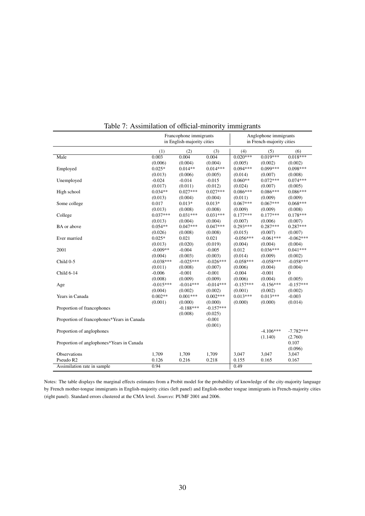|                                            | Francophone immigrants<br>in English-majority cities |             |             |             | Anglophone immigrants<br>in French-majority cities |             |  |
|--------------------------------------------|------------------------------------------------------|-------------|-------------|-------------|----------------------------------------------------|-------------|--|
|                                            | (1)                                                  | (2)         | (3)         | (4)         | (5)                                                | (6)         |  |
| Male                                       | $0.\overline{003}$                                   | 0.004       | 0.004       | $0.020***$  | $0.019***$                                         | $0.018***$  |  |
|                                            | (0.006)                                              | (0.004)     | (0.004)     | (0.005)     | (0.002)                                            | (0.002)     |  |
| Employed                                   | $0.025*$                                             | $0.014**$   | $0.014***$  | $0.094***$  | $0.099***$                                         | $0.098***$  |  |
|                                            | (0.013)                                              | (0.006)     | (0.005)     | (0.014)     | (0.007)                                            | (0.008)     |  |
| Unemployed                                 | $-0.024$                                             | $-0.014$    | $-0.015$    | $0.060**$   | $0.072***$                                         | $0.074***$  |  |
|                                            | (0.017)                                              | (0.011)     | (0.012)     | (0.024)     | (0.007)                                            | (0.005)     |  |
| High school                                | $0.034**$                                            | $0.027***$  | $0.027***$  | $0.086***$  | $0.086***$                                         | $0.086***$  |  |
|                                            | (0.013)                                              | (0.004)     | (0.004)     | (0.011)     | (0.009)                                            | (0.009)     |  |
| Some college                               | 0.017                                                | $0.013*$    | $0.013*$    | $0.067***$  | $0.067***$                                         | $0.068***$  |  |
|                                            | (0.013)                                              | (0.008)     | (0.008)     | (0.009)     | (0.009)                                            | (0.008)     |  |
| College                                    | $0.037***$                                           | $0.031***$  | $0.031***$  | $0.177***$  | $0.177***$                                         | $0.178***$  |  |
|                                            | (0.013)                                              | (0.004)     | (0.004)     | (0.007)     | (0.006)                                            | (0.007)     |  |
| BA or above                                | $0.054**$                                            | $0.047***$  | $0.047***$  | $0.293***$  | $0.287***$                                         | $0.287***$  |  |
|                                            | (0.026)                                              | (0.008)     | (0.008)     | (0.015)     | (0.007)                                            | (0.007)     |  |
| Ever married                               | $0.025*$                                             | 0.021       | 0.021       | $-0.056***$ | $-0.061***$                                        | $-0.062***$ |  |
|                                            | (0.013)                                              | (0.020)     | (0.019)     | (0.004)     | (0.004)                                            | (0.004)     |  |
| 2001                                       | $-0.009**$                                           | $-0.004$    | $-0.005$    | 0.012       | $0.036***$                                         | $0.041***$  |  |
|                                            | (0.004)                                              | (0.003)     | (0.003)     | (0.014)     | (0.009)                                            | (0.002)     |  |
| Child 0-5                                  | $-0.038***$                                          | $-0.025***$ | $-0.026***$ | $-0.058***$ | $-0.058***$                                        | $-0.058***$ |  |
|                                            | (0.011)                                              | (0.008)     | (0.007)     | (0.006)     | (0.004)                                            | (0.004)     |  |
| Child 6-14                                 | $-0.006$                                             | $-0.001$    | $-0.001$    | $-0.004$    | $-0.001$                                           | $\Omega$    |  |
|                                            | (0.008)                                              | (0.009)     | (0.009)     | (0.006)     | (0.004)                                            | (0.005)     |  |
| Age                                        | $-0.015***$                                          | $-0.014***$ | $-0.014***$ | $-0.157***$ | $-0.156***$                                        | $-0.157***$ |  |
|                                            | (0.004)                                              | (0.002)     | (0.002)     | (0.001)     | (0.002)                                            | (0.002)     |  |
| Years in Canada                            | $0.002**$                                            | $0.001***$  | $0.002***$  | $0.013***$  | $0.013***$                                         | $-0.003$    |  |
|                                            | (0.001)                                              | (0.000)     | (0.000)     | (0.000)     | (0.000)                                            | (0.014)     |  |
| Proportion of francophones                 |                                                      | $-0.188***$ | $-0.157***$ |             |                                                    |             |  |
|                                            |                                                      | (0.008)     | (0.025)     |             |                                                    |             |  |
| Proportion of francophones*Years in Canada |                                                      |             | $-0.001$    |             |                                                    |             |  |
|                                            |                                                      |             | (0.001)     |             |                                                    |             |  |
| Proportion of anglophones                  |                                                      |             |             |             | $-4.106***$                                        | $-7.782***$ |  |
|                                            |                                                      |             |             |             | (1.140)                                            | (2.760)     |  |
| Proportion of anglophones*Years in Canada  |                                                      |             |             |             |                                                    | 0.107       |  |
|                                            |                                                      |             |             |             |                                                    | (0.096)     |  |
| Observations                               | 1,709                                                | 1,709       | 1,709       | 3,047       | 3,047                                              | 3,047       |  |
| Pseudo R <sub>2</sub>                      | 0.126                                                | 0.216       | 0.218       | 0.155       | 0.165                                              | 0.167       |  |
| Assimilation rate in sample                | 0.94                                                 |             |             | 0.49        |                                                    |             |  |

Table 7: Assimilation of official-minority immigrants

Notes: The table displays the marginal effects estimates from a Probit model for the probability of knowledge of the city-majority language by French mother-tongue immigrants in English-majority cities (left panel) and English-mother tongue immigrants in French-majority cities (right panel). Standard errors clustered at the CMA level. *Sources*: PUMF 2001 and 2006.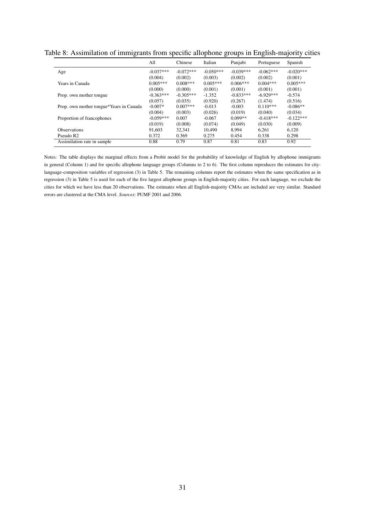|                                         | All         | Chinese     | Italian     | Punjabi     | Portuguese  | Spanish     |
|-----------------------------------------|-------------|-------------|-------------|-------------|-------------|-------------|
| Age                                     | $-0.037***$ | $-0.072***$ | $-0.050***$ | $-0.039***$ | $-0.062***$ | $-0.020***$ |
|                                         | (0.004)     | (0.002)     | (0.003)     | (0.002)     | (0.002)     | (0.001)     |
| Years in Canada                         | $0.005***$  | $0.008***$  | $0.005***$  | $0.006***$  | $0.004***$  | $0.005***$  |
|                                         | (0.000)     | (0.000)     | (0.001)     | (0.001)     | (0.001)     | (0.001)     |
| Prop. own mother tongue                 | $-0.363***$ | $-0.305***$ | $-1.352$    | $-0.833***$ | $-6.929***$ | $-0.574$    |
|                                         | (0.057)     | (0.035)     | (0.920)     | (0.267)     | (1.474)     | (0.516)     |
| Prop. own mother tongue*Years in Canada | $-0.007*$   | $0.007***$  | $-0.013$    | $-0.003$    | $0.110***$  | $-0.086**$  |
|                                         | (0.004)     | (0.003)     | (0.026)     | (0.019)     | (0.040)     | (0.034)     |
| Proportion of francophones              | $-0.059***$ | 0.007       | $-0.067$    | $0.099**$   | $-0.418***$ | $-0.122***$ |
|                                         | (0.019)     | (0.008)     | (0.074)     | (0.049)     | (0.030)     | (0.009)     |
| <b>Observations</b>                     | 91.603      | 32.341      | 10.490      | 8.994       | 6.261       | 6,120       |
| Pseudo R <sub>2</sub>                   | 0.372       | 0.369       | 0.275       | 0.454       | 0.338       | 0.298       |
| Assimilation rate in sample             | 0.88        | 0.79        | 0.87        | 0.81        | 0.83        | 0.92        |

Table 8: Assimilation of immigrants from specific allophone groups in English-majority cities

Notes: The table displays the marginal effects from a Probit model for the probability of knowledge of English by allophone immigrants in general (Column 1) and for specific allophone language groups (Columns to 2 to 6). The first column reproduces the estimates for citylanguage-composition variables of regression (3) in Table 5. The remaining columns report the estimates when the same specification as in regression (3) in Table 5 is used for each of the five largest allophone groups in English-majority cities. For each language, we exclude the cities for which we have less than 20 observations. The estimates when all English-majority CMAs are included are very similar. Standard errors are clustered at the CMA level. *Sources*: PUMF 2001 and 2006.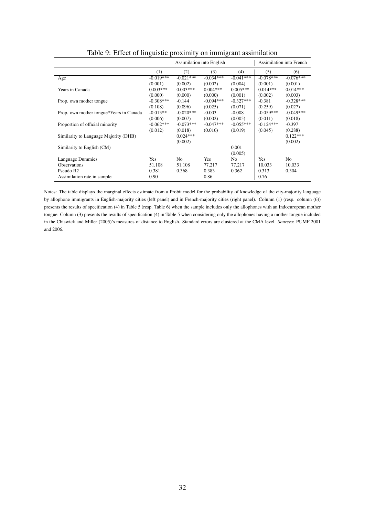|                                         |             | Assimilation into English |             | Assimilation into French |             |                |
|-----------------------------------------|-------------|---------------------------|-------------|--------------------------|-------------|----------------|
|                                         | (1)         | (2)                       | (3)         | (4)                      | (5)         | (6)            |
| Age                                     | $-0.019***$ | $-0.021***$               | $-0.034***$ | $-0.041***$              | $-0.078***$ | $-0.076***$    |
|                                         | (0.001)     | (0.002)                   | (0.002)     | (0.004)                  | (0.001)     | (0.001)        |
| Years in Canada                         | $0.003***$  | $0.003***$                | $0.004***$  | $0.005***$               | $0.014***$  | $0.014***$     |
|                                         | (0.000)     | (0.000)                   | (0.000)     | (0.001)                  | (0.002)     | (0.003)        |
| Prop. own mother tongue.                | $-0.308***$ | $-0.144$                  | $-0.094***$ | $-0.327***$              | $-0.381$    | $-0.328***$    |
|                                         | (0.108)     | (0.096)                   | (0.025)     | (0.071)                  | (0.259)     | (0.027)        |
| Prop. own mother tongue*Years in Canada | $-0.013**$  | $-0.020***$               | $-0.003$    | $-0.008$                 | $-0.059***$ | $-0.049***$    |
|                                         | (0.006)     | (0.007)                   | (0.002)     | (0.005)                  | (0.011)     | (0.018)        |
| Proportion of official minority         | $-0.062***$ | $-0.073***$               | $-0.047***$ | $-0.055***$              | $-0.124***$ | $-0.397$       |
|                                         | (0.012)     | (0.018)                   | (0.016)     | (0.019)                  | (0.045)     | (0.288)        |
| Similarity to Language Majority (DHB)   |             | $0.024***$                |             |                          |             | $0.122***$     |
|                                         |             | (0.002)                   |             |                          |             | (0.002)        |
| Similarity to English (CM)              |             |                           |             | 0.001                    |             |                |
|                                         |             |                           |             | (0.005)                  |             |                |
| Language Dummies                        | <b>Yes</b>  | N <sub>0</sub>            | <b>Yes</b>  | No.                      | Yes         | N <sub>0</sub> |
| <b>Observations</b>                     | 51,108      | 51,108                    | 77,217      | 77,217                   | 10,033      | 10,033         |
| Pseudo R <sub>2</sub>                   | 0.381       | 0.368                     | 0.383       | 0.362                    | 0.313       | 0.304          |
| Assimilation rate in sample             | 0.90        |                           | 0.86        |                          | 0.76        |                |

Table 9: Effect of linguistic proximity on immigrant assimilation

Notes: The table displays the marginal effects estimate from a Probit model for the probability of knowledge of the city-majority language by allophone immigrants in English-majority cities (left panel) and in French-majority cities (right panel). Column (1) (resp. column (6)) presents the results of specification (4) in Table 5 (resp. Table 6) when the sample includes only the allophones with an Indoeuropean mother tongue. Column (3) presents the results of specification (4) in Table 5 when considering only the allophones having a mother tongue included in the Chiswick and Miller (2005)'s measures of distance to English. Standard errors are clustered at the CMA level. *Sources*: PUMF 2001 and 2006.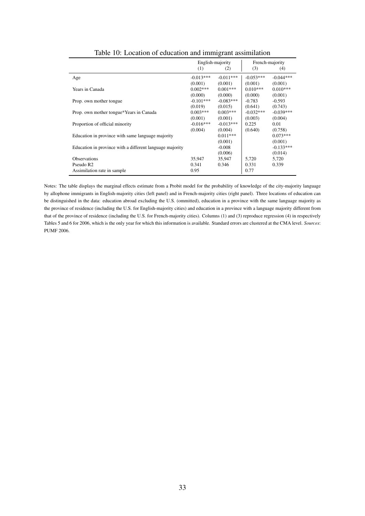|                                                          |             | English-majority |             | French-majority |
|----------------------------------------------------------|-------------|------------------|-------------|-----------------|
|                                                          | (1)         | (2)              | (3)         | (4)             |
| Age                                                      | $-0.013***$ | $-0.011***$      | $-0.053***$ | $-0.044***$     |
|                                                          | (0.001)     | (0.001)          | (0.001)     | (0.001)         |
| Years in Canada                                          | $0.002***$  | $0.001***$       | $0.010***$  | $0.010***$      |
|                                                          | (0.000)     | (0.000)          | (0.000)     | (0.001)         |
| Prop. own mother tongue.                                 | $-0.101***$ | $-0.083***$      | $-0.783$    | $-0.593$        |
|                                                          | (0.019)     | (0.015)          | (0.641)     | (0.743)         |
| Prop. own mother tongue*Years in Canada                  | $0.003***$  | $0.003***$       | $-0.032***$ | $-0.039***$     |
|                                                          | (0.001)     | (0.001)          | (0.003)     | (0.004)         |
| Proportion of official minority                          | $-0.016***$ | $-0.013***$      | 0.225       | 0.01            |
|                                                          | (0.004)     | (0.004)          | (0.640)     | (0.758)         |
| Education in province with same language majority        |             | $0.011***$       |             | $0.073***$      |
|                                                          |             | (0.001)          |             | (0.001)         |
| Education in province with a different language majority |             | $-0.008$         |             | $-0.133***$     |
|                                                          |             | (0.006)          |             | (0.014)         |
| <b>Observations</b>                                      | 35.947      | 35.947           | 5.720       | 5,720           |
| Pseudo R <sub>2</sub>                                    | 0.341       | 0.346            | 0.331       | 0.339           |
| Assimilation rate in sample                              | 0.95        |                  | 0.77        |                 |

Table 10: Location of education and immigrant assimilation

Notes: The table displays the marginal effects estimate from a Probit model for the probability of knowledge of the city-majority language by allophone immigrants in English-majority cities (left panel) and in French-majority cities (right panel). Three locations of education can be distinguished in the data: education abroad excluding the U.S. (ommitted), education in a province with the same language majority as the province of residence (including the U.S. for English-majority cities) and education in a province with a language majority different from that of the province of residence (including the U.S. for French-majority cities). Columns (1) and (3) reproduce regression (4) in respectively Tables 5 and 6 for 2006, which is the only year for which this information is available. Standard errors are clustered at the CMA level. *Sources*: PUMF 2006.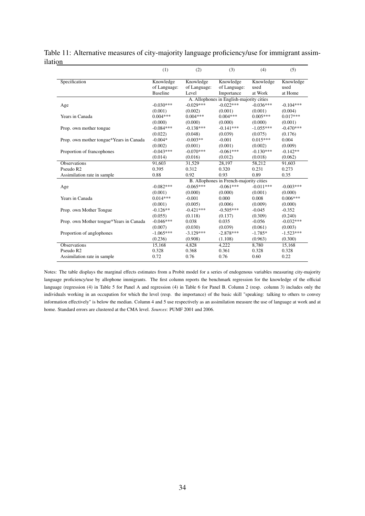|                                         | (1)             | (2)          | (3)                                      | (4)         | (5)         |
|-----------------------------------------|-----------------|--------------|------------------------------------------|-------------|-------------|
| Specification                           | Knowledge       | Knowledge    | Knowledge                                | Knowledge   | Knowledge   |
|                                         | of Language:    | of Language: | of Language:                             | used        | used        |
|                                         | <b>Baseline</b> | Level        | Importance                               | at Work     | at Home     |
|                                         |                 |              | A. Allophones in English-majority cities |             |             |
| Age                                     | $-0.030***$     | $-0.029***$  | $-0.022***$                              | $-0.036***$ | $-0.104***$ |
|                                         | (0.001)         | (0.002)      | (0.001)                                  | (0.001)     | (0.004)     |
| Years in Canada                         | $0.004***$      | $0.004***$   | $0.004***$                               | $0.005***$  | $0.017***$  |
|                                         | (0.000)         | (0.000)      | (0.000)                                  | (0.000)     | (0.001)     |
| Prop. own mother tongue                 | $-0.084***$     | $-0.138***$  | $-0.141***$                              | $-1.055***$ | $-0.470***$ |
|                                         | (0.022)         | (0.048)      | (0.039)                                  | (0.075)     | (0.176)     |
| Prop. own mother tongue*Years in Canada | $-0.004*$       | $-0.003**$   | $-0.001$                                 | $0.015***$  | 0.004       |
|                                         | (0.002)         | (0.001)      | (0.001)                                  | (0.002)     | (0.009)     |
| Proportion of francophones              | $-0.043***$     | $-0.070***$  | $-0.061***$                              | $-0.130***$ | $-0.142**$  |
|                                         | (0.014)         | (0.016)      | (0.012)                                  | (0.018)     | (0.062)     |
| <b>Observations</b>                     | 91.603          | 31,529       | 28,197                                   | 58,212      | 91.603      |
| Pseudo R2                               | 0.395           | 0.312        | 0.320                                    | 0.231       | 0.273       |
| Assimilation rate in sample             | 0.88            | 0.92         | 0.93                                     | 0.89        | 0.35        |
|                                         |                 |              | B. Allophones in French-majority cities  |             |             |
| Age                                     | $-0.082***$     | $-0.065***$  | $-0.061***$                              | $-0.011***$ | $-0.003***$ |
|                                         | (0.001)         | (0.000)      | (0.000)                                  | (0.001)     | (0.000)     |
| Years in Canada                         | $0.014***$      | $-0.001$     | 0.000                                    | 0.008       | $0.006***$  |
|                                         | (0.001)         | (0.005)      | (0.006)                                  | (0.009)     | (0.000)     |
| Prop. own Mother Tongue                 | $-0.126**$      | $-0.421***$  | $-0.505***$                              | $-0.045$    | $-0.352$    |
|                                         | (0.055)         | (0.118)      | (0.137)                                  | (0.309)     | (0.240)     |
| Prop. own Mother tongue*Years in Canada | $-0.046***$     | 0.038        | 0.035                                    | $-0.056$    | $-0.032***$ |
|                                         | (0.007)         | (0.030)      | (0.039)                                  | (0.061)     | (0.003)     |
| Proportion of anglophones               | $-1.065***$     | $-3.129***$  | $-2.878***$                              | $-1.785*$   | $-1.523***$ |
|                                         | (0.236)         | (0.908)      | (1.108)                                  | (0.963)     | (0.300)     |
| <b>Observations</b>                     | 15,168          | 4,828        | 4,222                                    | 8,780       | 15,168      |
| Pseudo R <sub>2</sub>                   | 0.328           | 0.368        | 0.361                                    | 0.328       | 0.328       |
| Assimilation rate in sample             | 0.72            | 0.76         | 0.76                                     | 0.60        | 0.22        |

Table 11: Alternative measures of city-majority language proficiency/use for immigrant assimilation

Notes: The table displays the marginal effects estimates from a Probit model for a series of endogenous variables measuring city-majority language proficiency/use by allophone immigrants. The first column reports the benchmark regression for the knowledge of the official language (regression (4) in Table 5 for Panel A and regression (4) in Table 6 for Panel B. Column 2 (resp. column 3) includes only the individuals working in an occupation for which the level (resp. the importance) of the basic skill "speaking: talking to others to convey information effectively" is below the median. Column 4 and 5 use respectively as an assimilation measure the use of language at work and at home. Standard errors are clustered at the CMA level. *Sources*: PUMF 2001 and 2006.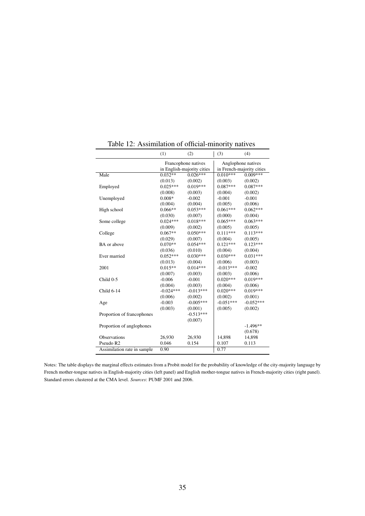|                             | (1)                                               | (2)                   | (3)                                             | (4)                   |
|-----------------------------|---------------------------------------------------|-----------------------|-------------------------------------------------|-----------------------|
|                             | Francophone natives<br>in English-majority cities |                       | Anglophone natives<br>in French-majority cities |                       |
| Male                        | $0.032**$                                         | $0.026***$            | $0.010***$                                      | $0.009***$            |
|                             |                                                   |                       |                                                 |                       |
|                             | (0.013)<br>$0.025***$                             | (0.002)<br>$0.019***$ | (0.003)<br>$0.087***$                           | (0.002)<br>$0.087***$ |
| Employed                    |                                                   |                       |                                                 |                       |
|                             | (0.008)                                           | (0.003)               | (0.004)                                         | (0.002)               |
| Unemployed                  | $0.008*$                                          | $-0.002$              | $-0.001$                                        | $-0.001$              |
|                             | (0.004)                                           | (0.004)               | (0.005)                                         | (0.006)               |
| High school                 | $0.066**$                                         | $0.053***$            | $0.061***$                                      | $0.062***$            |
|                             | (0.030)                                           | (0.007)               | (0.000)                                         | (0.004)               |
| Some college                | $0.024***$                                        | $0.018***$            | $0.065***$                                      | $0.063***$            |
|                             | (0.009)                                           | (0.002)               | (0.005)                                         | (0.005)               |
| College                     | $0.067**$                                         | $0.050***$            | $0.111***$                                      | $0.113***$            |
|                             | (0.029)                                           | (0.007)               | (0.004)                                         | (0.005)               |
| BA or above                 | $0.070**$                                         | $0.054***$            | $0.121***$                                      | $0.123***$            |
|                             | (0.036)                                           | (0.010)               | (0.004)                                         | (0.004)               |
| Ever married                | $0.052***$                                        | $0.030***$            | $0.030***$                                      | $0.031***$            |
|                             | (0.013)                                           | (0.004)               | (0.006)                                         | (0.003)               |
| 2001                        | $0.015**$                                         | $0.014***$            | $-0.013***$                                     | $-0.002$              |
|                             | (0.007)                                           | (0.003)               | (0.003)                                         | (0.006)               |
| Child 0-5                   | $-0.006$                                          | $-0.001$              | $0.020***$                                      | $0.019***$            |
|                             | (0.004)                                           | (0.003)               | (0.004)                                         | (0.006)               |
| Child 6-14                  | $-0.024***$                                       | $-0.013***$           | $0.020***$                                      | $0.019***$            |
|                             | (0.006)                                           | (0.002)               | (0.002)                                         | (0.001)               |
| Age                         | $-0.003$                                          | $-0.005***$           | $-0.051***$                                     | $-0.052***$           |
|                             | (0.003)                                           | (0.001)               | (0.005)                                         | (0.002)               |
| Proportion of francophones  |                                                   | $-0.513***$           |                                                 |                       |
|                             |                                                   | (0.007)               |                                                 |                       |
| Proportion of anglophones   |                                                   |                       |                                                 | $-1.496**$            |
|                             |                                                   |                       |                                                 | (0.678)               |
| Observations                | 26,930                                            | 26,930                | 14,898                                          | 14,898                |
| Pseudo R2                   | 0.046                                             | 0.154                 | 0.107                                           | 0.113                 |
| Assimilation rate in sample | 0.90                                              |                       | 0.77                                            |                       |
|                             |                                                   |                       |                                                 |                       |

Table 12: Assimilation of official-minority natives

Notes: The table displays the marginal effects estimates from a Probit model for the probability of knowledge of the city-majority language by French mother-tongue natives in English-majority cities (left panel) and English mother-tongue natives in French-majority cities (right panel). Standard errors clustered at the CMA level. *Sources*: PUMF 2001 and 2006.